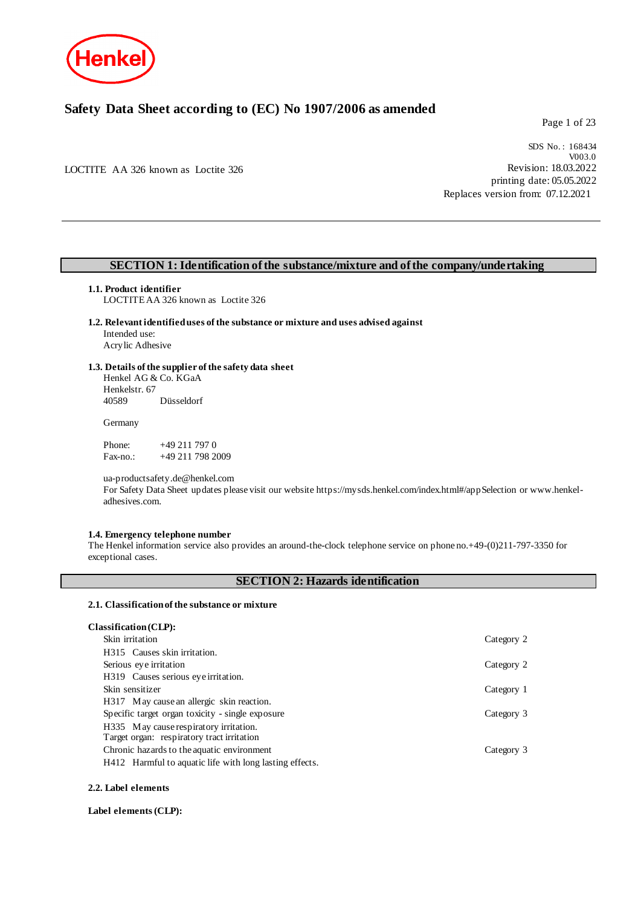

### **Safety Data Sheet according to (EC) No 1907/2006 as amended**

Page 1 of 23

LOCTITE AA 326 known as Loctite 326

SDS No. : 168434 V003.0 Revision: 18.03.2022 printing date: 05.05.2022 Replaces version from: 07.12.2021

### **SECTION 1: Identification of the substance/mixture and of the company/undertaking**

### **1.1. Product identifier**

LOCTITE AA 326 known as Loctite 326

**1.2. Relevant identified uses of the substance or mixture and uses advised against** Intended use: Acrylic Adhesive

### **1.3. Details of the supplier of the safety data sheet**

Henkel AG & Co. KGaA Henkelstr. 67<br>40589 Düsseldorf

#### **Germany**

Phone: +49 211 797 0<br>Fax-no.: +49 211 798 20 +49 211 798 2009

ua-productsafety.de@henkel.com

For Safety Data Sheet updates please visit our website https://mysds.henkel.com/index.html#/appSelection or www.henkeladhesives.com.

### **1.4. Emergency telephone number**

The Henkel information service also provides an around-the-clock telephone service on phone no.+49-(0)211-797-3350 for exceptional cases.

### **SECTION 2: Hazards identification**

### **2.1. Classification of the substance or mixture**

| Classification (CLP):                                   |            |
|---------------------------------------------------------|------------|
| Skin irritation                                         | Category 2 |
| H315 Causes skin irritation.                            |            |
| Serious eye irritation                                  | Category 2 |
| H319 Causes serious eye irritation.                     |            |
| Skin sensitizer                                         | Category 1 |
| H317 May cause an allergic skin reaction.               |            |
| Specific target organ toxicity - single exposure        | Category 3 |
| H335 May cause respiratory irritation.                  |            |
| Target organ: respiratory tract irritation              |            |
| Chronic hazards to the aquatic environment              | Category 3 |
| H412 Harmful to aquatic life with long lasting effects. |            |

### **2.2. Label elements**

### **Label elements (CLP):**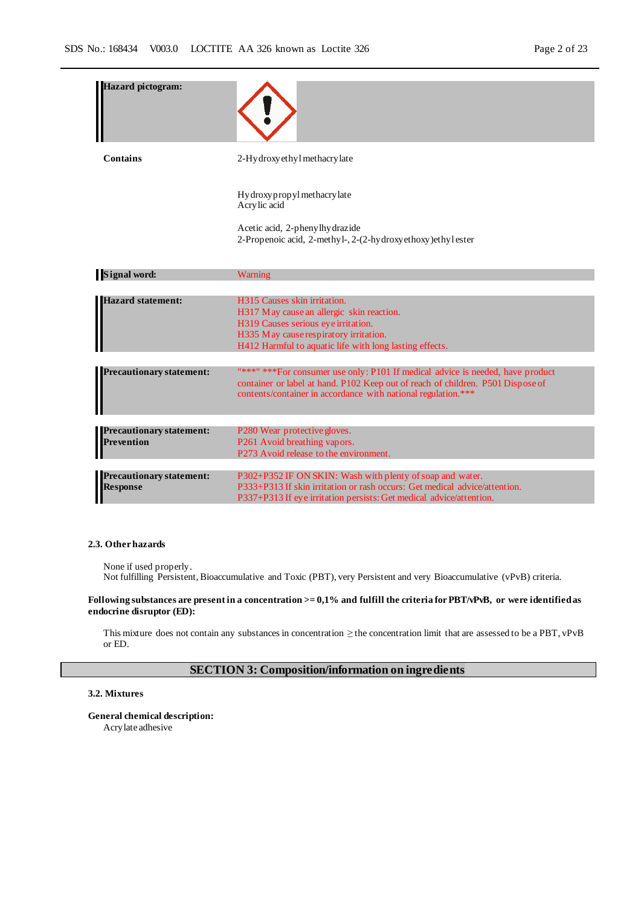| <b>Hazard</b> pictogram:                             |                                                                                                                                                                                                                                     |
|------------------------------------------------------|-------------------------------------------------------------------------------------------------------------------------------------------------------------------------------------------------------------------------------------|
| Contains                                             | 2-Hydroxy ethyl methacry late                                                                                                                                                                                                       |
|                                                      | Hydroxy propyl methacry late<br>Acrylic acid<br>Acetic acid, 2-phenylhydrazide<br>2-Propenoic acid, 2-methyl-, 2-(2-hydroxyethoxy)ethylester                                                                                        |
| <b>Signal word:</b>                                  | Warning                                                                                                                                                                                                                             |
|                                                      |                                                                                                                                                                                                                                     |
| <b>Hazard statement:</b>                             | H315 Causes skin irritation.<br>H317 May cause an allergic skin reaction.<br>H319 Causes serious eye irritation.<br>H335 May cause respiratory irritation.<br>H412 Harmful to aquatic life with long lasting effects.               |
|                                                      |                                                                                                                                                                                                                                     |
| <b>Precautionary statement:</b>                      | "***" *** For consumer use only: P101 If medical advice is needed, have product<br>container or label at hand. P102 Keep out of reach of children. P501 Dispose of<br>contents/container in accordance with national regulation.*** |
|                                                      |                                                                                                                                                                                                                                     |
| <b>Precautionary statement:</b><br><b>Prevention</b> | P280 Wear protective gloves.<br>P261 Avoid breathing vapors.<br>P273 Avoid release to the environment.                                                                                                                              |
|                                                      |                                                                                                                                                                                                                                     |
| <b>Precautionary statement:</b><br><b>Response</b>   | P302+P352 IF ON SKIN: Wash with plenty of soap and water.<br>P333+P313 If skin irritation or rash occurs: Get medical advice/attention.<br>P337+P313 If eye irritation persists: Get medical advice/attention.                      |

#### **2.3. Other hazards**

None if used properly. Not fulfilling Persistent, Bioaccumulative and Toxic (PBT), very Persistent and very Bioaccumulative (vPvB) criteria.

### **Following substances are present in a concentration >= 0,1% and fulfill the criteria for PBT/vPvB, or were identified as endocrine disruptor (ED):**

This mixture does not contain any substances in concentration ≥ the concentration limit that are assessed to be a PBT, vPvB or ED.

### **SECTION 3: Composition/information on ingredients**

### **3.2. Mixtures**

**General chemical description:** Acrylate adhesive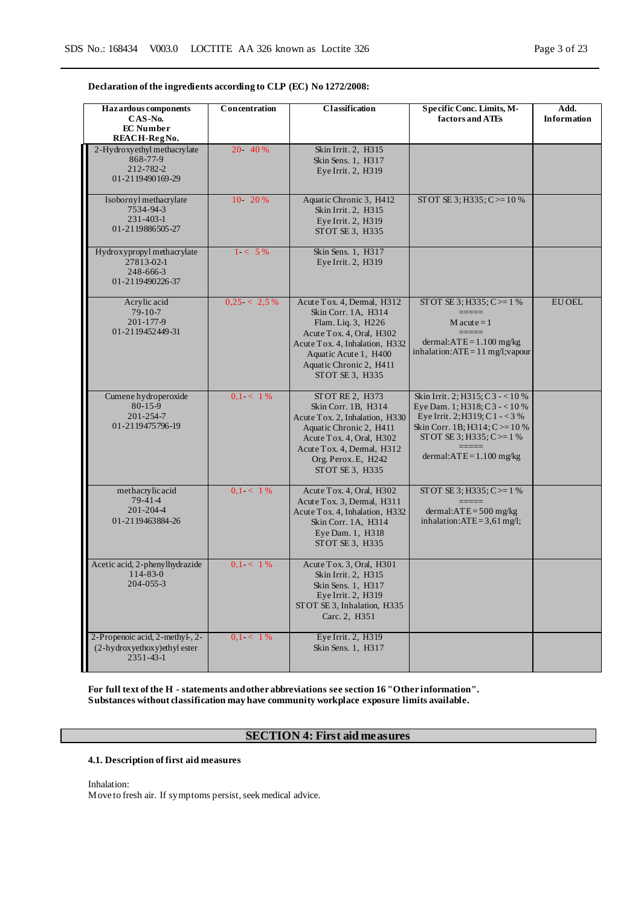### **Declaration of the ingredients according to CLP (EC) No 1272/2008:**

| <b>Hazardous</b> components<br>CAS-No.<br><b>EC</b> Number<br>REACH-RegNo.            | Concentration  | <b>Classification</b>                                                                                                                                                                                        | Specific Conc. Limits, M-<br>factors and ATEs                                                                                                                                                      | Add.<br>Information |
|---------------------------------------------------------------------------------------|----------------|--------------------------------------------------------------------------------------------------------------------------------------------------------------------------------------------------------------|----------------------------------------------------------------------------------------------------------------------------------------------------------------------------------------------------|---------------------|
| 2-Hydroxyethyl methacrylate<br>868-77-9<br>212-782-2<br>01-2119490169-29              | 20 - 40 %      | Skin Irrit. 2, H315<br>Skin Sens. 1, H317<br>Eye Irrit. 2, H319                                                                                                                                              |                                                                                                                                                                                                    |                     |
| Isobornyl methacrylate<br>7534-94-3<br>$231 - 403 - 1$<br>01-2119886505-27            | 10 20 %        | Aquatic Chronic 3, H412<br>Skin Irrit. 2, H315<br>Eye Irrit. 2, H319<br>STOT SE 3, H335                                                                                                                      | STOT SE 3; H335; C $> = 10\%$                                                                                                                                                                      |                     |
| Hydroxypropyl methacrylate<br>27813-02-1<br>248-666-3<br>01-2119490226-37             | $1 < 5\%$      | Skin Sens. 1, H317<br>Eye Irrit. 2, H319                                                                                                                                                                     |                                                                                                                                                                                                    |                     |
| Acrylic acid<br>$79-10-7$<br>201-177-9<br>01-2119452449-31                            | $0.25 < 2.5\%$ | Acute Tox. 4, Dermal, H312<br>Skin Corr. 1A, H314<br>Flam. Liq. 3, H226<br>Acute Tox. 4, Oral, H302<br>Acute Tox. 4, Inhalation, H332<br>Aquatic Acute 1, H400<br>Aquatic Chronic 2, H411<br>STOT SE 3, H335 | STOT SE 3; H335; C $>= 1$ %<br>$M$ acute = 1<br>dermal: $ATE = 1.100$ mg/kg<br>inhalation: $ATE = 11$ mg/l; vapour                                                                                 | <b>EU OEL</b>       |
| Cumene hydroperoxide<br>$80 - 15 - 9$<br>$201 - 254 - 7$<br>01-2119475796-19          | $0.1 < 1\%$    | STOT RE 2, H373<br>Skin Corr. 1B, H314<br>Acute Tox. 2, Inhalation, H330<br>Aquatic Chronic 2, H411<br>Acute Tox. 4, Oral, H302<br>Acute Tox. 4, Dermal, H312<br>Org. Perox. E, H242<br>STOT SE 3, H335      | Skin Irrit. 2; H315; C3 - < 10 %<br>Eye Dam. 1; H318; C3 - < 10 %<br>Eye Irrit. 2; H319; C 1 - < 3 %<br>Skin Corr. 1B; H314; C>=10 %<br>STOT SE 3; H335; C $>=$ 1 %<br>dermal: $ATE = 1.100$ mg/kg |                     |
| methacrylicacid<br>$79-41-4$<br>$201 - 204 - 4$<br>01-2119463884-26                   | $0.1 < 1\%$    | Acute Tox. 4, Oral, H302<br>Acute Tox. 3, Dermal, H311<br>Acute Tox. 4, Inhalation, H332<br>Skin Corr. 1A, H314<br>Eye Dam. 1, H318<br>STOT SE 3, H335                                                       | STOT SE 3; H335; C $>=$ 1%<br>$=$ $=$ $=$ $=$ $=$<br>dermal: $ATE = 500$ mg/kg<br>inhalation: $ATE = 3,61$ mg/l;                                                                                   |                     |
| Acetic acid, 2-phenylhydrazide<br>$114 - 83 - 0$<br>$204 - 055 - 3$                   | $0.1 < 1\%$    | Acute Tox. 3, Oral, H301<br>Skin Irrit. 2, H315<br>Skin Sens. 1, H317<br>Eye Irrit. 2, H319<br>STOT SE 3, Inhalation, H335<br>Carc. 2, H351                                                                  |                                                                                                                                                                                                    |                     |
| 2-Propenoic acid, 2-methyl-, 2-<br>$(2-hydroxyethoxy)$ ethyl ester<br>$2351 - 43 - 1$ | $0,1 - 1\%$    | Eye Irrit. 2, H319<br>Skin Sens. 1, H317                                                                                                                                                                     |                                                                                                                                                                                                    |                     |

**For full text of the H - statements and other abbreviations see section 16 "Other information". Substances without classification may have community workplace exposure limits available.**

### **SECTION 4: First aid measures**

### **4.1. Description of first aid measures**

Inhalation:

Move to fresh air. If symptoms persist, seek medical advice.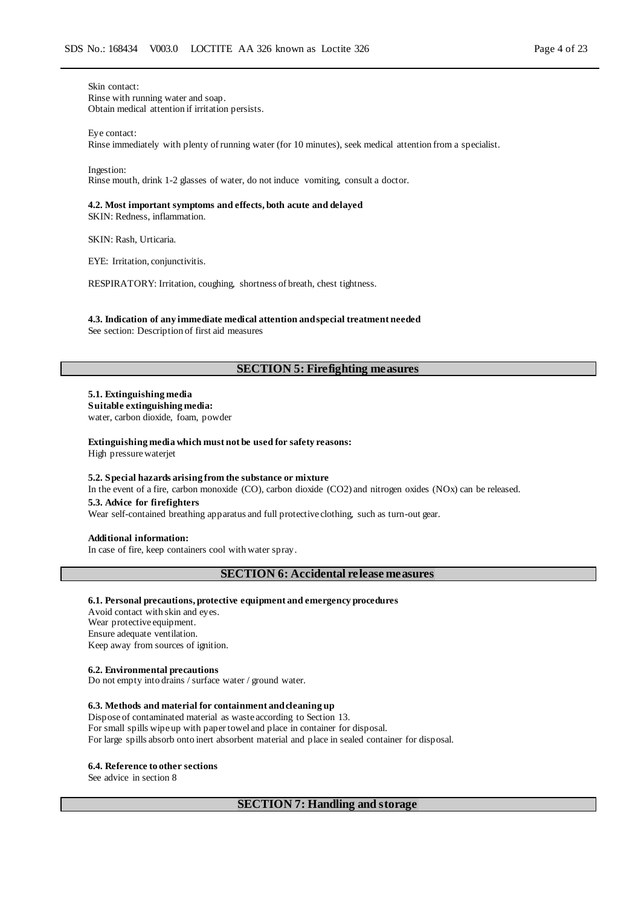Skin contact: Rinse with running water and soap. Obtain medical attention if irritation persists.

Eye contact:

Rinse immediately with plenty of running water (for 10 minutes), seek medical attention from a specialist.

Ingestion:

Rinse mouth, drink 1-2 glasses of water, do not induce vomiting, consult a doctor.

### **4.2. Most important symptoms and effects, both acute and delayed**

SKIN: Redness, inflammation.

SKIN: Rash, Urticaria.

EYE: Irritation, conjunctivitis.

RESPIRATORY: Irritation, coughing, shortness of breath, chest tightness.

## **4.3. Indication of any immediate medical attention and special treatment needed**

See section: Description of first aid measures

### **SECTION 5: Firefighting measures**

**5.1. Extinguishing media Suitable extinguishing media:** water, carbon dioxide, foam, powder

**Extinguishing media which must not be used for safety reasons:** High pressure waterjet

#### **5.2. Special hazards arising from the substance or mixture**

In the event of a fire, carbon monoxide (CO), carbon dioxide (CO2) and nitrogen oxides (NOx) can be released.

### **5.3. Advice for firefighters**

Wear self-contained breathing apparatus and full protective clothing, such as turn-out gear.

### **Additional information:**

In case of fire, keep containers cool with water spray.

### **SECTION 6: Accidental release measures**

#### **6.1. Personal precautions, protective equipment and emergency procedures**

Avoid contact with skin and eyes. Wear protective equipment. Ensure adequate ventilation. Keep away from sources of ignition.

#### **6.2. Environmental precautions**

Do not empty into drains / surface water / ground water.

### **6.3. Methods and material for containment and cleaning up**

Dispose of contaminated material as waste according to Section 13. For small spills wipe up with paper towel and place in container for disposal. For large spills absorb onto inert absorbent material and place in sealed container for disposal.

### **6.4. Reference to other sections**

See advice in section 8

### **SECTION 7: Handling and storage**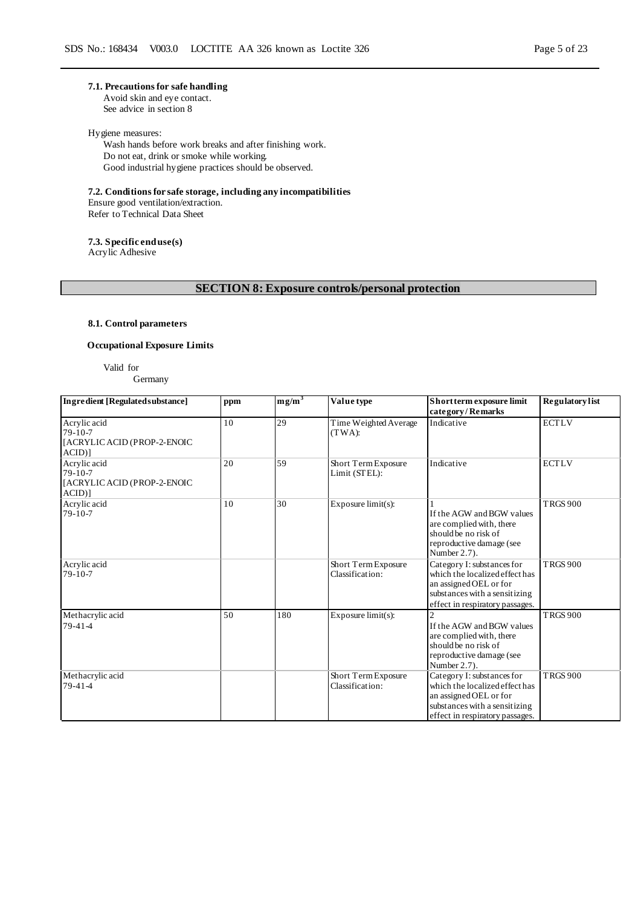### **7.1. Precautions for safe handling**

Avoid skin and eye contact. See advice in section 8

### Hygiene measures:

Wash hands before work breaks and after finishing work. Do not eat, drink or smoke while working. Good industrial hygiene practices should be observed.

**7.2. Conditions for safe storage, including any incompatibilities**

Ensure good ventilation/extraction. Refer to Technical Data Sheet

**7.3. Specific end use(s)**

Acrylic Adhesive

### **SECTION 8: Exposure controls/personal protection**

### **8.1. Control parameters**

### **Occupational Exposure Limits**

Valid for Germany

| Ingredient [Regulated substance]                                     | ppm | $mg/m^3$ | Value type                             | Short term exposure limit<br>category/Remarks                                                                                                              | <b>Regulatory</b> list |
|----------------------------------------------------------------------|-----|----------|----------------------------------------|------------------------------------------------------------------------------------------------------------------------------------------------------------|------------------------|
| Acrylic acid<br>$79-10-7$<br>[ACRYLIC ACID (PROP-2-ENOIC<br>$ACID$ ] | 10  | 29       | Time Weighted Average<br>(TWA):        | Indicative                                                                                                                                                 | <b>ECTLV</b>           |
| Acrylic acid<br>$79-10-7$<br>[ACRYLIC ACID (PROP-2-ENOIC<br>$ACID$ ] | 20  | 59       | Short Term Exposure<br>Limit (STEL):   | Indicative                                                                                                                                                 | <b>ECTLV</b>           |
| Acrylic acid<br>$79-10-7$                                            | 10  | 30       | Exposure $limit(s)$ :                  | If the AGW and BGW values<br>are complied with, there<br>should be no risk of<br>reproductive damage (see<br>Number $2.7$ ).                               | <b>TRGS 900</b>        |
| Acrylic acid<br>$79-10-7$                                            |     |          | Short Term Exposure<br>Classification: | Category I: substances for<br>which the localized effect has<br>an assigned OEL or for<br>substances with a sensitizing<br>effect in respiratory passages. | <b>TRGS 900</b>        |
| Methacrylic acid<br>$79-41-4$                                        | 50  | 180      | Exposure $limit(s)$ :                  | $\mathfrak{D}$<br>If the AGW and BGW values<br>are complied with, there<br>should be no risk of<br>reproductive damage (see<br>Number 2.7).                | <b>TRGS 900</b>        |
| Methacrylic acid<br>79-41-4                                          |     |          | Short Term Exposure<br>Classification: | Category I: substances for<br>which the localized effect has<br>an assigned OEL or for<br>substances with a sensitizing<br>effect in respiratory passages. | <b>TRGS 900</b>        |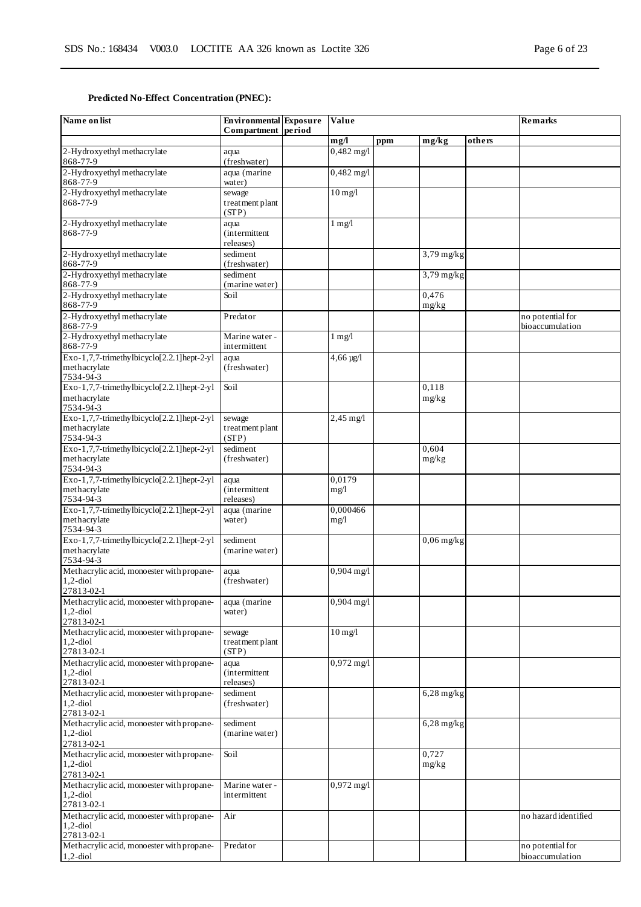### **Predicted No-Effect Concentration (PNEC):**

| Name on list                                               | <b>Environmental</b> Exposure<br>Compartment period | Value                |     |                      |        | <b>Remarks</b>       |
|------------------------------------------------------------|-----------------------------------------------------|----------------------|-----|----------------------|--------|----------------------|
|                                                            |                                                     | mg/l                 | ppm | mg/kg                | others |                      |
| 2-Hydroxyethyl methacrylate                                | aqua                                                | $0,482$ mg/l         |     |                      |        |                      |
| 868-77-9                                                   | (freshwater)                                        |                      |     |                      |        |                      |
| 2-Hydroxyethyl methacrylate                                | aqua (marine                                        | $0,482 \text{ mg}/1$ |     |                      |        |                      |
| 868-77-9                                                   | water)                                              |                      |     |                      |        |                      |
| 2-Hydroxyethyl methacrylate                                | sewage                                              | $10$ mg/l            |     |                      |        |                      |
| 868-77-9                                                   | treatment plant<br>(STP)                            |                      |     |                      |        |                      |
| 2-Hydroxyethyl methacrylate                                | aqua                                                | $1 \text{ mg}/1$     |     |                      |        |                      |
| 868-77-9                                                   | <i>(intermittent)</i>                               |                      |     |                      |        |                      |
|                                                            | releases)                                           |                      |     |                      |        |                      |
| 2-Hydroxyethyl methacrylate                                | sediment                                            |                      |     | $3,79$ mg/kg         |        |                      |
| 868-77-9                                                   | (freshwater)                                        |                      |     |                      |        |                      |
| 2-Hydroxyethyl methacrylate                                | sediment                                            |                      |     | $\frac{3,79}{mg/kg}$ |        |                      |
| 868-77-9                                                   | (marine water)                                      |                      |     |                      |        |                      |
| 2-Hydroxyethyl methacrylate<br>868-77-9                    | Soil                                                |                      |     | 0,476                |        |                      |
| 2-Hydroxyethyl methacrylate                                | Predator                                            |                      |     | mg/kg                |        | no potential for     |
| 868-77-9                                                   |                                                     |                      |     |                      |        | bioaccumulation      |
| 2-Hydroxyethyl methacrylate                                | Marine water -                                      | $1 \text{ mg}/1$     |     |                      |        |                      |
| 868-77-9                                                   | intermittent                                        |                      |     |                      |        |                      |
| Exo-1,7,7-trimethylbicyclo[2.2.1]hept-2-yl                 | aqua                                                | $4,66 \,\mu g/l$     |     |                      |        |                      |
| methacrylate                                               | (freshwater)                                        |                      |     |                      |        |                      |
| 7534-94-3                                                  |                                                     |                      |     |                      |        |                      |
| Exo-1,7,7-trimethylbicyclo[2.2.1]hept-2-yl                 | Soil                                                |                      |     | 0,118                |        |                      |
| methacrylate<br>7534-94-3                                  |                                                     |                      |     | mg/kg                |        |                      |
| Exo-1,7,7-trimethylbicyclo[2.2.1]hept-2-yl                 | sewage                                              | $2,45$ mg/l          |     |                      |        |                      |
| methacrylate                                               | treatment plant                                     |                      |     |                      |        |                      |
| 7534-94-3                                                  | (STP)                                               |                      |     |                      |        |                      |
| Exo-1,7,7-trimethylbicyclo[2.2.1]hept-2-yl                 | sediment                                            |                      |     | 0.604                |        |                      |
| methacrylate                                               | (freshwater)                                        |                      |     | mg/kg                |        |                      |
| 7534-94-3                                                  |                                                     |                      |     |                      |        |                      |
| Exo-1,7,7-trimethylbicyclo[2.2.1]hept-2-yl<br>methacrylate | aqua<br><i>(intermittent)</i>                       | 0,0179<br>mg/l       |     |                      |        |                      |
| 7534-94-3                                                  | releases)                                           |                      |     |                      |        |                      |
| Exo-1,7,7-trimethylbicyclo[2.2.1]hept-2-yl                 | aqua (marine                                        | 0,000466             |     |                      |        |                      |
| methacrylate                                               | water)                                              | mg/l                 |     |                      |        |                      |
| 7534-94-3                                                  |                                                     |                      |     |                      |        |                      |
| Exo-1,7,7-trimethylbicyclo[2.2.1]hept-2-yl                 | sediment                                            |                      |     | $0,06$ mg/kg         |        |                      |
| methacrylate<br>7534-94-3                                  | (marine water)                                      |                      |     |                      |        |                      |
| Methacrylic acid, monoester with propane-                  | aqua                                                | $0,904$ mg/l         |     |                      |        |                      |
| $1,2$ -diol                                                | (freshwater)                                        |                      |     |                      |        |                      |
| 27813-02-1                                                 |                                                     |                      |     |                      |        |                      |
| Methacrylic acid, monoester with propane-                  | aqua (marine                                        | $0,904$ mg/l         |     |                      |        |                      |
| $1,2$ -diol                                                | water)                                              |                      |     |                      |        |                      |
| 27813-02-1                                                 |                                                     |                      |     |                      |        |                      |
| Methacrylic acid, monoester with propane-<br>$1,2$ -diol   | sewage<br>treatment plant                           | $10$ mg/l            |     |                      |        |                      |
| 27813-02-1                                                 | (STP)                                               |                      |     |                      |        |                      |
| Methacrylic acid, monoester with propane-                  | aqua                                                | $0,972 \text{ mg/l}$ |     |                      |        |                      |
| $1,2$ -diol                                                | <i>(intermittent)</i>                               |                      |     |                      |        |                      |
| 27813-02-1                                                 | releases)                                           |                      |     |                      |        |                      |
| Methacrylic acid, monoester with propane-                  | sediment                                            |                      |     | $6,28$ mg/kg         |        |                      |
| $1,2$ -diol                                                | (freshwater)                                        |                      |     |                      |        |                      |
| 27813-02-1<br>Methacrylic acid, monoester with propane-    | sediment                                            |                      |     | $6,28$ mg/kg         |        |                      |
| $1,2$ -diol                                                | (marine water)                                      |                      |     |                      |        |                      |
| 27813-02-1                                                 |                                                     |                      |     |                      |        |                      |
| Methacrylic acid, monoester with propane-                  | Soil                                                |                      |     | 0,727                |        |                      |
| $1,2$ -diol                                                |                                                     |                      |     | mg/kg                |        |                      |
| 27813-02-1                                                 |                                                     |                      |     |                      |        |                      |
| Methacrylic acid, monoester with propane-                  | Marine water -                                      | $0,972$ mg/l         |     |                      |        |                      |
| $1,2$ -diol<br>27813-02-1                                  | intermittent                                        |                      |     |                      |        |                      |
| Methacrylic acid, monoester with propane-                  | Air                                                 |                      |     |                      |        | no hazard identified |
| $1,2$ -diol                                                |                                                     |                      |     |                      |        |                      |
| 27813-02-1                                                 |                                                     |                      |     |                      |        |                      |
| Methacrylic acid, monoester with propane-                  | Predator                                            |                      |     |                      |        | no potential for     |
| $1,2$ -diol                                                |                                                     |                      |     |                      |        | bioaccumulation      |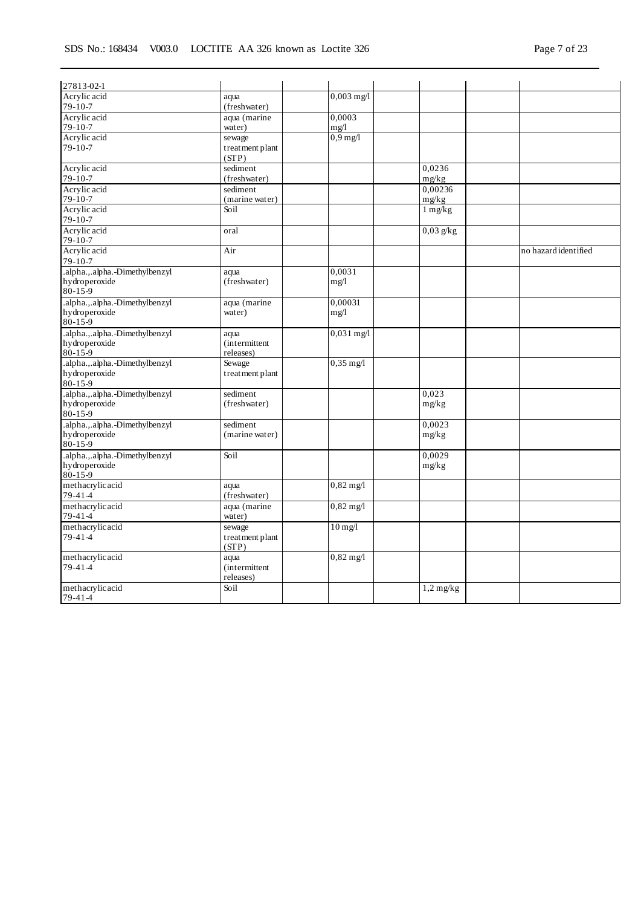| 27813-02-1                                      |                       |                     |                     |                      |
|-------------------------------------------------|-----------------------|---------------------|---------------------|----------------------|
| Acrylic acid                                    | aqua                  | $0,003$ mg/l        |                     |                      |
| $79 - 10 - 7$                                   | (freshwater)          |                     |                     |                      |
| Acrylic acid                                    | aqua (marine          | 0,0003              |                     |                      |
| $79 - 10 - 7$                                   | water)                | mg/l                |                     |                      |
| Acrylic acid                                    | sewage                | $0,9$ mg/l          |                     |                      |
| $79 - 10 - 7$                                   | treatment plant       |                     |                     |                      |
|                                                 | (STP)                 |                     |                     |                      |
| Acrylic acid                                    | sediment              |                     | 0,0236              |                      |
| $79 - 10 - 7$                                   | (freshwater)          |                     | mg/kg               |                      |
| Acrylic acid                                    | sediment              |                     | 0,00236             |                      |
| $79 - 10 - 7$                                   | (marine water)        |                     | mg/kg               |                      |
| Acrylic acid                                    | Soil                  |                     | $1 \, \text{mg/kg}$ |                      |
| $79-10-7$                                       |                       |                     |                     |                      |
| Acrylic acid                                    | oral                  |                     | $0.03$ g/kg         |                      |
| $79 - 10 - 7$<br>Acrylic acid                   |                       |                     |                     | no hazard identified |
| 79-10-7                                         | Air                   |                     |                     |                      |
| .alpha.,.alpha.-Dimethylbenzyl                  |                       | 0.0031              |                     |                      |
| hydroperoxide                                   | aqua<br>(freshwater)  | mg/1                |                     |                      |
| 80-15-9                                         |                       |                     |                     |                      |
| .alpha.,.alpha.-Dimethylbenzyl                  | aqua (marine          | 0,00031             |                     |                      |
| hydroperoxide                                   | water)                | mg/l                |                     |                      |
| 80-15-9                                         |                       |                     |                     |                      |
| .alpha.,.alpha.-Dimethylbenzyl                  | aqua                  | $0,031$ mg/l        |                     |                      |
| hydroperoxide                                   | (intermittent         |                     |                     |                      |
| $80 - 15 - 9$                                   | releases)             |                     |                     |                      |
| .alpha.,.alpha.-Dimethylbenzyl                  | Sewage                | $0,35$ mg/l         |                     |                      |
| hydroperoxide                                   | treatment plant       |                     |                     |                      |
| $80 - 15 - 9$                                   |                       |                     |                     |                      |
| .alpha.,.alpha.-Dimethylbenzyl                  | sediment              |                     | 0,023               |                      |
| hydroperoxide                                   | (freshwater)          |                     | mg/kg               |                      |
| $80 - 15 - 9$                                   |                       |                     |                     |                      |
| .alpha.,.alpha.-Dimethylbenzyl                  | sediment              |                     | 0.0023              |                      |
| hydroperoxide<br>$80 - 15 - 9$                  | (marine water)        |                     | mg/kg               |                      |
|                                                 |                       |                     |                     |                      |
| .alpha.,.alpha.-Dimethylbenzyl<br>hydroperoxide | Soil                  |                     | 0,0029              |                      |
| $80 - 15 - 9$                                   |                       |                     | mg/kg               |                      |
| methacrylic acid                                | aqua                  | $0,82 \text{ mg}/1$ |                     |                      |
| 79-41-4                                         | (freshwater)          |                     |                     |                      |
| methacrylic acid                                | aqua (marine          | $0,82 \text{ mg}/1$ |                     |                      |
| $79 - 41 - 4$                                   | water)                |                     |                     |                      |
| methacrylic acid                                | sewage                | $10$ mg/l           |                     |                      |
| $79-41-4$                                       | treatment plant       |                     |                     |                      |
|                                                 | (STP)                 |                     |                     |                      |
| methacrylicacid                                 | aqua                  | $0,82 \text{ mg}/1$ |                     |                      |
| $79 - 41 - 4$                                   | <i>(intermittent)</i> |                     |                     |                      |
|                                                 | releases)             |                     |                     |                      |
| methacrylicacid                                 | Soil                  |                     | $1,2$ mg/kg         |                      |
| $79 - 41 - 4$                                   |                       |                     |                     |                      |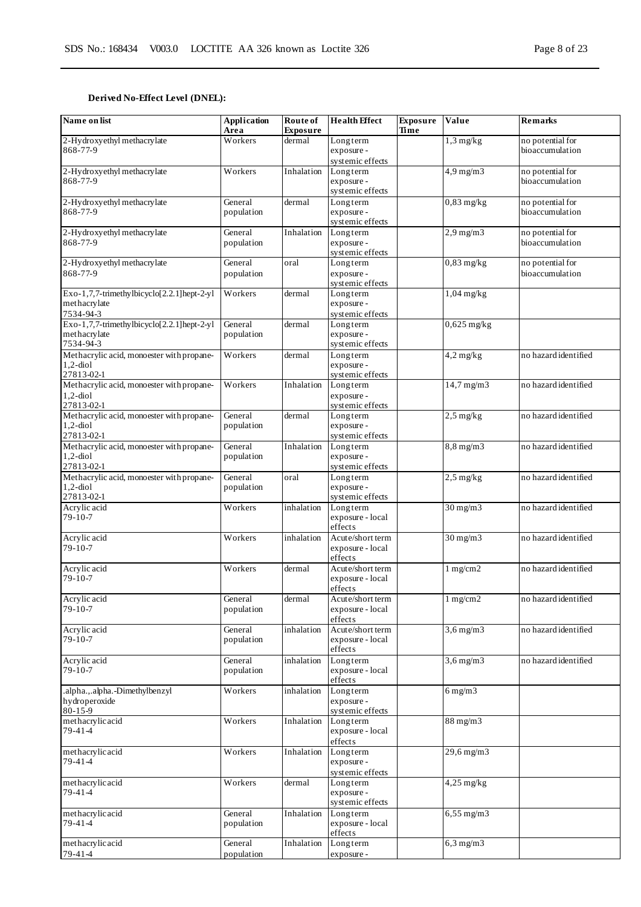### **Derived No-Effect Level (DNEL):**

| Name on list                                                            | Application<br>Area   | Route of<br><b>Exposure</b> | <b>Health Effect</b>                            | <b>Exposure</b><br>Time | Value              | <b>Remarks</b>                      |
|-------------------------------------------------------------------------|-----------------------|-----------------------------|-------------------------------------------------|-------------------------|--------------------|-------------------------------------|
| 2-Hydroxyethyl methacrylate<br>868-77-9                                 | Workers               | dermal                      | Longterm<br>exposure -<br>systemic effects      |                         | $1,3$ mg/kg        | no potential for<br>bioaccumulation |
| 2-Hydroxyethyl methacrylate<br>868-77-9                                 | Workers               | Inhalation                  | Longterm<br>exposure -<br>systemic effects      |                         | $4,9$ mg/m $3$     | no potential for<br>bioaccumulation |
| 2-Hydroxyethyl methacrylate<br>868-77-9                                 | General<br>population | dermal                      | Longterm<br>exposure -<br>systemic effects      |                         | $0,83$ mg/kg       | no potential for<br>bioaccumulation |
| 2-Hydroxyethyl methacrylate<br>868-77-9                                 | General<br>population | Inhalation                  | Longterm<br>exposure -<br>systemic effects      |                         | $2,9$ mg/m $3$     | no potential for<br>bioaccumulation |
| 2-Hydroxyethyl methacrylate<br>868-77-9                                 | General<br>population | oral                        | Longterm<br>exposure -<br>systemic effects      |                         | $0,83$ mg/kg       | no potential for<br>bioaccumulation |
| Exo-1,7,7-trimethylbicyclo[2.2.1]hept-2-yl<br>methacrylate<br>7534-94-3 | Workers               | dermal                      | Longterm<br>exposure -<br>systemic effects      |                         | $1,04$ mg/kg       |                                     |
| Exo-1,7,7-trimethylbicyclo[2.2.1]hept-2-yl<br>methacrylate<br>7534-94-3 | General<br>population | dermal                      | Longterm<br>exposure -<br>systemic effects      |                         | $0,625$ mg/kg      |                                     |
| Methacrylic acid, monoester with propane-<br>$1,2$ -diol<br>27813-02-1  | Workers               | dermal                      | Longterm<br>exposure -<br>systemic effects      |                         | $4,2$ mg/kg        | no hazard identified                |
| Methacrylic acid, monoester with propane-<br>$1,2$ -diol<br>27813-02-1  | Workers               | Inhalation                  | Longterm<br>exposure -<br>systemic effects      |                         | $14,7$ mg/m $3$    | no hazard identified                |
| Methacrylic acid, monoester with propane-<br>$1,2$ -diol<br>27813-02-1  | General<br>population | dermal                      | Longterm<br>exposure -<br>systemic effects      |                         | $2,5$ mg/kg        | no hazard identified                |
| Methacrylic acid, monoester with propane-<br>$1,2$ -diol<br>27813-02-1  | General<br>population | Inhalation                  | Longterm<br>exposure -<br>systemic effects      |                         | $8,8$ mg/m $3$     | no hazard identified                |
| Methacrylic acid, monoester with propane-<br>$1,2$ -diol<br>27813-02-1  | General<br>population | oral                        | Longterm<br>exposure -<br>systemic effects      |                         | $2,5$ mg/kg        | no hazard identified                |
| Acrylic acid<br>79-10-7                                                 | Workers               | inhalation                  | Longterm<br>exposure - local<br>effects         |                         | $30$ mg/m $3$      | no hazard identified                |
| Acrylic acid<br>$79 - 10 - 7$                                           | Workers               | inhalation                  | Acute/short term<br>exposure - local<br>effects |                         | $30$ mg/m $3$      | no hazard identified                |
| Acrylic acid<br>79-10-7                                                 | Workers               | dermal                      | Acute/short term<br>exposure - local<br>effects |                         | 1 mg/cm2           | no hazard identified                |
| Acrylic acid<br>$79 - 10 - 7$                                           | General<br>population | dermal                      | Acute/short term<br>exposure - local<br>effects |                         | $1 \text{ mg/cm2}$ | no hazard identified                |
| Acrylic acid<br>$79-10-7$                                               | General<br>population | inhalation                  | Acute/short term<br>exposure - local<br>effects |                         | $3,6$ mg/m $3$     | no hazard identified                |
| Acrylic acid<br>79-10-7                                                 | General<br>population | inhalation                  | Longterm<br>exposure - local<br>effects         |                         | $3,6$ mg/m $3$     | no hazard identified                |
| .alpha.,.alpha.-Dimethylbenzyl<br>hydroperoxide<br>80-15-9              | Workers               | inhalation                  | Longterm<br>exposure -<br>systemic effects      |                         | $6$ mg/m $3$       |                                     |
| methacrylicacid<br>79-41-4                                              | Workers               | Inhalation                  | Longterm<br>exposure - local<br>effects         |                         | $88$ mg/m $3$      |                                     |
| methacrylicacid<br>79-41-4                                              | Workers               | Inhalation                  | Longterm<br>exposure -<br>systemic effects      |                         | $29,6$ mg/m $3$    |                                     |
| methacrylicacid<br>79-41-4                                              | Workers               | dermal                      | Longterm<br>exposure -<br>systemic effects      |                         | $4,25$ mg/kg       |                                     |
| methacrylicacid<br>79-41-4                                              | General<br>population | Inhalation                  | Longterm<br>exposure - local<br>effects         |                         | $6,55$ mg/m $3$    |                                     |
| methacrylicacid<br>79-41-4                                              | General<br>population | Inhalation                  | Longterm<br>exposure -                          |                         | $6,3$ mg/m $3$     |                                     |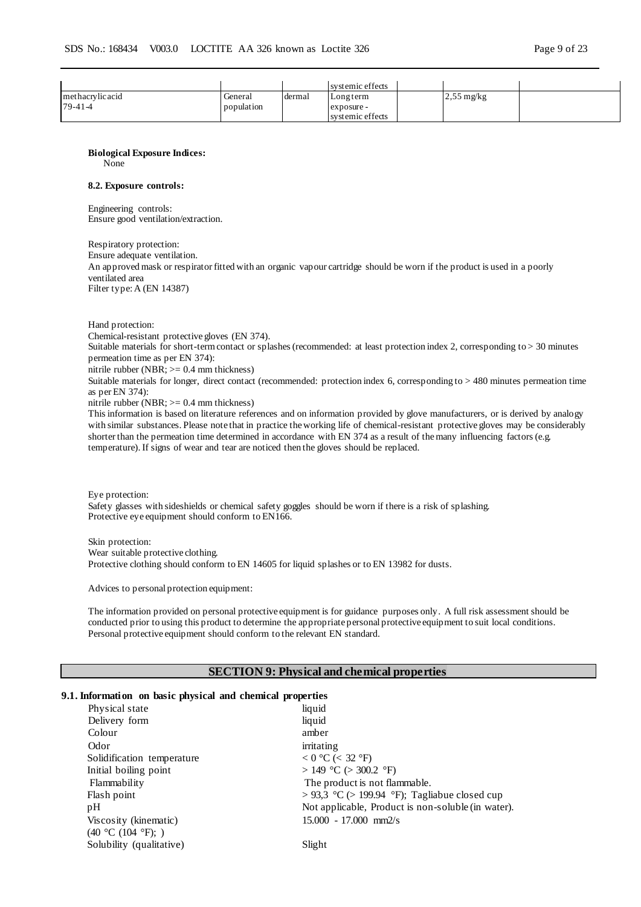|                  |            |        | systemic effects |                      |  |
|------------------|------------|--------|------------------|----------------------|--|
| methacrylic acid | General    | dermal | Longterm         | $2,55 \text{ mg/kg}$ |  |
| 79-41-4          | population |        | exposure -       |                      |  |
|                  |            |        | systemic effects |                      |  |

### **Biological Exposure Indices:**

None

### **8.2. Exposure controls:**

Engineering controls: Ensure good ventilation/extraction.

Respiratory protection:

Ensure adequate ventilation. An approved mask or respirator fitted with an organic vapour cartridge should be worn if the product is used in a poorly ventilated area Filter type: A (EN 14387)

Hand protection:

Chemical-resistant protective gloves (EN 374).

Suitable materials for short-term contact or splashes (recommended: at least protection index 2, corresponding to > 30 minutes permeation time as per EN 374):

nitrile rubber (NBR;  $>= 0.4$  mm thickness)

Suitable materials for longer, direct contact (recommended: protection index 6, corresponding to > 480 minutes permeation time as per EN 374):

nitrile rubber (NBR;  $>= 0.4$  mm thickness)

This information is based on literature references and on information provided by glove manufacturers, or is derived by analogy with similar substances. Please note that in practice the working life of chemical-resistant protective gloves may be considerably shorter than the permeation time determined in accordance with EN 374 as a result of the many influencing factors (e.g. temperature). If signs of wear and tear are noticed then the gloves should be replaced.

Eye protection: Safety glasses with sideshields or chemical safety goggles should be worn if there is a risk of splashing. Protective eye equipment should conform to EN166.

Skin protection: Wear suitable protective clothing. Protective clothing should conform to EN 14605 for liquid splashes or to EN 13982 for dusts.

Advices to personal protection equipment:

The information provided on personal protective equipment is for guidance purposes only. A full risk assessment should be conducted prior to using this product to determine the appropriate personal protective equipment to suit local conditions. Personal protective equipment should conform to the relevant EN standard.

### **SECTION 9: Physical and chemical properties**

### **9.1. Information on basic physical and chemical properties**

| Physical state             | liquid                                             |
|----------------------------|----------------------------------------------------|
| Delivery form              | liquid                                             |
| Colour                     | amber                                              |
| Odor                       | irritating                                         |
| Solidification temperature | $< 0$ °C ( $< 32$ °F)                              |
| Initial boiling point      | > 149 °C (> 300.2 °F)                              |
| Flammability               | The product is not flammable.                      |
| Flash point                | > 93,3 °C (> 199.94 °F); Tagliabue closed cup      |
| pН                         | Not applicable, Product is non-soluble (in water). |
| Viscosity (kinematic)      | $15.000 - 17.000$ mm2/s                            |
| (40 °C (104 °F); )         |                                                    |
| Solubility (qualitative)   | Slight                                             |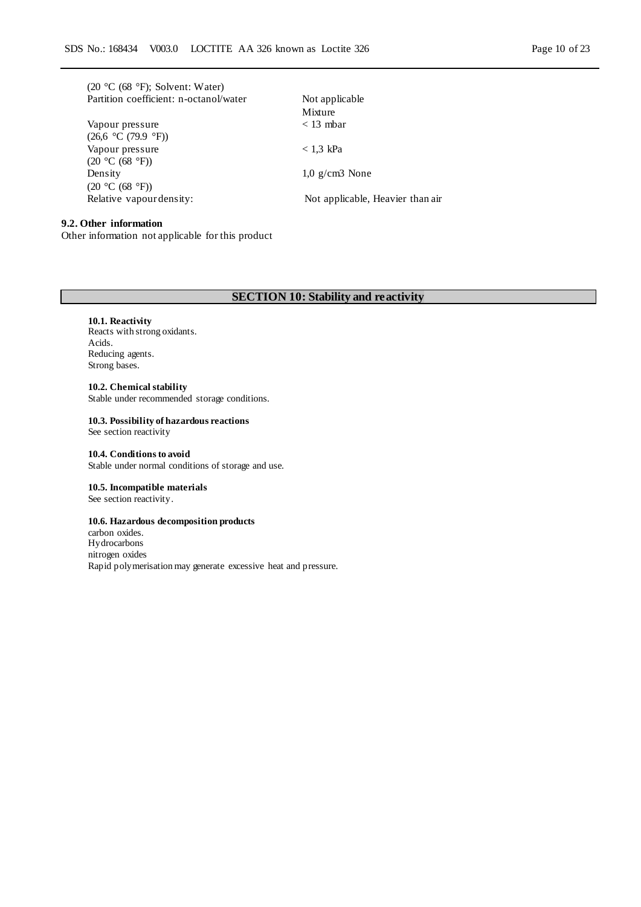|  |  | $(20 °C (68 °F))$ ; Solvent: Water)    |  |  |
|--|--|----------------------------------------|--|--|
|  |  | Partition coefficient: n-octanol/water |  |  |

|                          | Mixture                          |
|--------------------------|----------------------------------|
| Vapour pressure          | $<$ 13 mbar                      |
| (26.6 °C (79.9 °F))      |                                  |
| Vapour pressure          | $< 1.3$ kPa                      |
| (20 °C (68 °F))          |                                  |
| Density                  | $1,0 \text{ g/cm}$ None          |
| (20 °C (68 °F))          |                                  |
| Relative vapour density: | Not applicable, Heavier than air |
|                          |                                  |

# Mixture  $<$  13 mbar  $< 1.3$  kPa 1,0 g/cm3 None

Not applicable

### **9.2. Other information**

Other information not applicable for this product

### **SECTION 10: Stability and reactivity**

#### **10.1. Reactivity**

Reacts with strong oxidants. Acids. Reducing agents. Strong bases.

**10.2. Chemical stability** Stable under recommended storage conditions.

### **10.3. Possibility of hazardous reactions**

See section reactivity

### **10.4. Conditions to avoid** Stable under normal conditions of storage and use.

**10.5. Incompatible materials**

See section reactivity.

### **10.6. Hazardous decomposition products**

carbon oxides. Hydrocarbons nitrogen oxides Rapid polymerisation may generate excessive heat and pressure.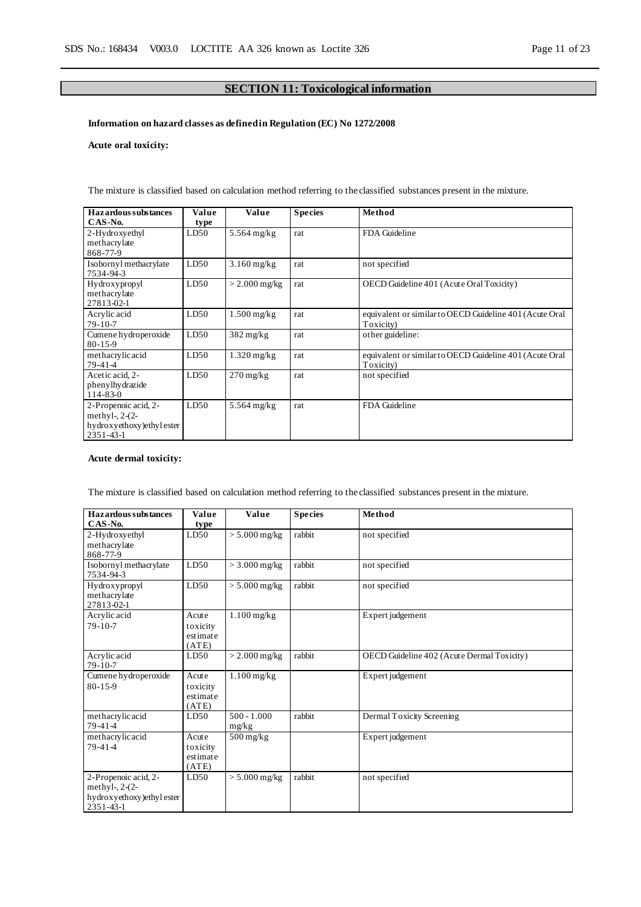### **SECTION 11: Toxicological information**

### **Information on hazard classes as defined in Regulation (EC) No 1272/2008**

### **Acute oral toxicity:**

| Hazardous substances<br>$CAS-N0$ .                                                  | Value<br>type | Value                  | <b>Species</b> | Method                                                               |
|-------------------------------------------------------------------------------------|---------------|------------------------|----------------|----------------------------------------------------------------------|
| 2-Hydroxyethyl<br>methacrylate<br>868-77-9                                          | LD50          | $5.564$ mg/kg          | rat            | FDA Guideline                                                        |
| Isobornyl methacrylate<br>7534-94-3                                                 | LD50          | $3.160$ mg/kg          | rat            | not specified                                                        |
| Hydroxypropyl<br>methacrylate<br>27813-02-1                                         | LD50          | $>$ 2.000 mg/kg        | rat            | OECD Guideline 401 (Acute Oral Toxicity)                             |
| Acrylic acid<br>$79-10-7$                                                           | LD50          | $1.500$ mg/kg          | rat            | equivalent or similar to OECD Guideline 401 (Acute Oral<br>Toxicity) |
| Cumene hydroperoxide<br>$80 - 15 - 9$                                               | LD50          | $382 \text{ mg/kg}$    | rat            | other guideline:                                                     |
| methacrylicacid<br>79-41-4                                                          | LD50          | $1.320$ mg/kg          | rat            | equivalent or similar to OECD Guideline 401 (Acute Oral<br>Toxicity) |
| Acetic acid, 2-<br>phenylhydrazide<br>$114 - 83 - 0$                                | LD50          | $270 \,\mathrm{mg/kg}$ | rat            | not specified                                                        |
| 2-Propenoic acid, 2-<br>methyl-, $2-(2-$<br>hydroxyethoxy) ethyl ester<br>2351-43-1 | LD50          | $5.564$ mg/kg          | rat            | FDA Guideline                                                        |

The mixture is classified based on calculation method referring to the classified substances present in the mixture.

### **Acute dermal toxicity:**

The mixture is classified based on calculation method referring to the classified substances present in the mixture.

| <b>Hazardous substances</b> | Value    | Value                  | <b>Species</b> | Method                                     |
|-----------------------------|----------|------------------------|----------------|--------------------------------------------|
| $CAS-No.$                   | type     |                        |                |                                            |
| 2-Hydroxyethyl              | LD50     | $> 5.000$ mg/kg        | rabbit         | not specified                              |
| methacrylate                |          |                        |                |                                            |
| 868-77-9                    |          |                        |                |                                            |
| Isobornyl methacrylate      | LD50     | $>$ 3.000 mg/kg        | rabbit         | not specified                              |
| 7534-94-3                   |          |                        |                |                                            |
| Hydroxypropyl               | LD50     | $> 5.000$ mg/kg        | rabbit         | not specified                              |
| methacrylate                |          |                        |                |                                            |
| 27813-02-1                  |          |                        |                |                                            |
| Acrylic acid                | Acute    | $1.100$ mg/kg          |                | Expert judgement                           |
| $79-10-7$                   | toxicity |                        |                |                                            |
|                             | estimate |                        |                |                                            |
|                             | (ATE)    |                        |                |                                            |
| Acrylic acid                | LD50     | $>$ 2.000 mg/kg        | rabbit         | OECD Guideline 402 (Acute Dermal Toxicity) |
| $79-10-7$                   |          |                        |                |                                            |
| Cumene hydroperoxide        | Acute    | $1.100$ mg/kg          |                | Expert judgement                           |
| $80 - 15 - 9$               | toxicity |                        |                |                                            |
|                             | estimate |                        |                |                                            |
|                             | (ATE)    |                        |                |                                            |
| methacrylicacid             | LD50     | $500 - 1.000$          | rabbit         | Dermal Toxicity Screening                  |
| $79-41-4$                   |          | mg/kg                  |                |                                            |
| methacrylicacid             | Acute    | $500 \,\mathrm{mg/kg}$ |                | Expert judgement                           |
| $79 - 41 - 4$               | toxicity |                        |                |                                            |
|                             | estimate |                        |                |                                            |
|                             | (ATE)    |                        |                |                                            |
| 2-Propenoic acid, 2-        | LD50     | $> 5.000$ mg/kg        | rabbit         | not specified                              |
| methyl-, $2-(2-$            |          |                        |                |                                            |
| hydroxyethoxy) ethyl ester  |          |                        |                |                                            |
| $2351 - 43 - 1$             |          |                        |                |                                            |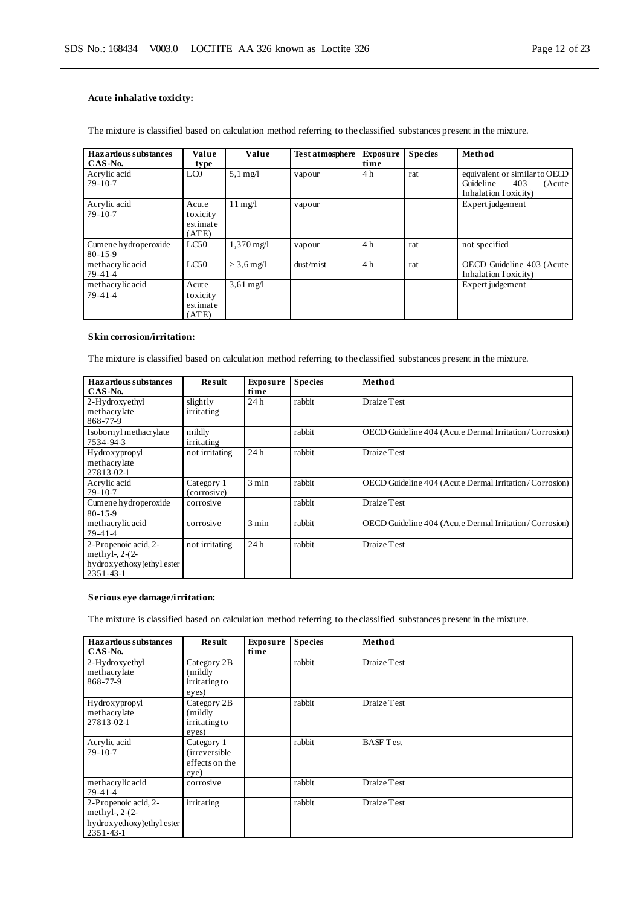### **Acute inhalative toxicity:**

The mixture is classified based on calculation method referring to the classified substances present in the mixture.

| Hazardous substances<br>$CAS-N0$ .    | Value<br>type                          | Value                 | <b>Test atmosphere</b> | <b>Exposure</b><br>time | <b>Species</b> | Method                                                                              |
|---------------------------------------|----------------------------------------|-----------------------|------------------------|-------------------------|----------------|-------------------------------------------------------------------------------------|
| Acrylic acid<br>$79-10-7$             | LC <sub>0</sub>                        | $5.1 \text{ mg}/1$    | vapour                 | 4 h                     | rat            | equivalent or similar to OECD<br>Guideline<br>403<br>(Acute<br>Inhalation Toxicity) |
| Acrylic acid<br>$79-10-7$             | Acute<br>toxicity<br>estimate<br>(ATE) | $11 \text{ mg}/l$     | vapour                 |                         |                | Expert judgement                                                                    |
| Cumene hydroperoxide<br>$80 - 15 - 9$ | LC50                                   | $1,370 \,\mathrm{mg}$ | vapour                 | 4h                      | rat            | not specified                                                                       |
| methacrylicacid<br>$79-41-4$          | LC50                                   | $>$ 3.6 mg/l          | dust/mist              | 4h                      | rat            | OECD Guideline 403 (Acute<br>Inhalation Toxicity)                                   |
| methacrylicacid<br>$79-41-4$          | Acute<br>toxicity<br>estimate<br>(ATE) | $3,61 \text{ mg}/1$   |                        |                         |                | Expert judgement                                                                    |

### **Skin corrosion/irritation:**

The mixture is classified based on calculation method referring to the classified substances present in the mixture.

| <b>Hazardous substances</b><br>CAS-No.                                                    | <b>Result</b>             | <b>Exposure</b><br>time | <b>Species</b> | Method                                                 |
|-------------------------------------------------------------------------------------------|---------------------------|-------------------------|----------------|--------------------------------------------------------|
| 2-Hydroxyethyl<br>methacrylate<br>868-77-9                                                | slightly<br>irritating    | 24h                     | rabbit         | Draize Test                                            |
| Isobornyl methacrylate<br>7534-94-3                                                       | mildly<br>irritating      |                         | rabbit         | OECD Guideline 404 (Acute Dermal Irritation/Corrosion) |
| Hydroxypropyl<br>methacrylate<br>27813-02-1                                               | not irritating            | 24h                     | rabbit         | Draize Test                                            |
| Acrylic acid<br>$79 - 10 - 7$                                                             | Category 1<br>(corrosive) | $3 \text{ min}$         | rabbit         | OECD Guideline 404 (Acute Dermal Irritation/Corrosion) |
| Cumene hydroperoxide<br>$80 - 15 - 9$                                                     | corrosive                 |                         | rabbit         | Draize Test                                            |
| methacrylicacid<br>79-41-4                                                                | corrosive                 | $3 \text{ min}$         | rabbit         | OECD Guideline 404 (Acute Dermal Irritation/Corrosion) |
| 2-Propenoic acid, 2-<br>methyl-, $2-(2-$<br>hydroxyethoxy) ethyl ester<br>$2351 - 43 - 1$ | not irritating            | 24h                     | rabbit         | Draize Test                                            |

### **Serious eye damage/irritation:**

The mixture is classified based on calculation method referring to the classified substances present in the mixture.

| Hazardous substances<br>CAS-No.                                                           | <b>Result</b>                                          | <b>Exposure</b><br>time | <b>Species</b> | Method           |
|-------------------------------------------------------------------------------------------|--------------------------------------------------------|-------------------------|----------------|------------------|
| 2-Hydroxyethyl<br>methacrylate<br>868-77-9                                                | Category 2B<br>(mildly)<br>irritating to<br>eyes)      |                         | rabbit         | Draize Test      |
| Hydroxypropyl<br>methacrylate<br>27813-02-1                                               | Category 2B<br>(mildly)<br>irritating to<br>eyes)      |                         | rabbit         | Draize Test      |
| Acrylic acid<br>$79-10-7$                                                                 | Category 1<br>(irreversible)<br>effects on the<br>eye) |                         | rabbit         | <b>BASF</b> Test |
| methacrylicacid<br>$79-41-4$                                                              | corrosive                                              |                         | rabbit         | Draize Test      |
| 2-Propenoic acid, 2-<br>methyl-, $2-(2-$<br>hydroxyethoxy) ethyl ester<br>$2351 - 43 - 1$ | irritating                                             |                         | rabbit         | Draize Test      |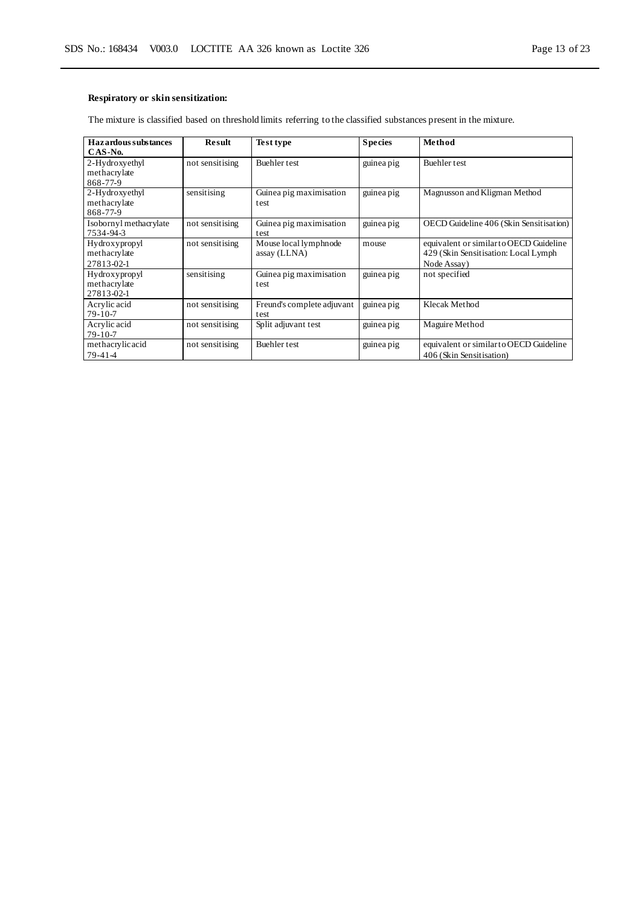### **Respiratory or skin sensitization:**

The mixture is classified based on threshold limits referring to the classified substances present in the mixture.

| Hazardous substances<br>CAS-No.             | Result          | Test type                             | <b>Species</b> | Method                                                                                         |
|---------------------------------------------|-----------------|---------------------------------------|----------------|------------------------------------------------------------------------------------------------|
| 2-Hydroxyethyl<br>methacrylate<br>868-77-9  | not sensitising | Buehler test                          | guinea pig     | Buehler test                                                                                   |
| 2-Hydroxyethyl<br>methacrylate<br>868-77-9  | sensitising     | Guinea pig maximisation<br>test       | guinea pig     | Magnusson and Kligman Method                                                                   |
| Isobornyl methacrylate<br>7534-94-3         | not sensitising | Guinea pig maximisation<br>test       | guinea pig     | OECD Guideline 406 (Skin Sensitisation)                                                        |
| Hydroxypropyl<br>methacrylate<br>27813-02-1 | not sensitising | Mouse local lymphnode<br>assay (LLNA) | mouse          | equivalent or similar to OECD Guideline<br>429 (Skin Sensitisation: Local Lymph<br>Node Assay) |
| Hydroxypropyl<br>methacrylate<br>27813-02-1 | sensitising     | Guinea pig maximisation<br>test       | guinea pig     | not specified                                                                                  |
| Acrylic acid<br>$79 - 10 - 7$               | not sensitising | Freund's complete adjuvant<br>test    | guinea pig     | Klecak Method                                                                                  |
| Acrylic acid<br>$79-10-7$                   | not sensitising | Split adjuvant test                   | guinea pig     | Maguire Method                                                                                 |
| methacrylicacid<br>$79-41-4$                | not sensitising | Buehler test                          | guinea pig     | equivalent or similar to OECD Guideline<br>406 (Skin Sensitisation)                            |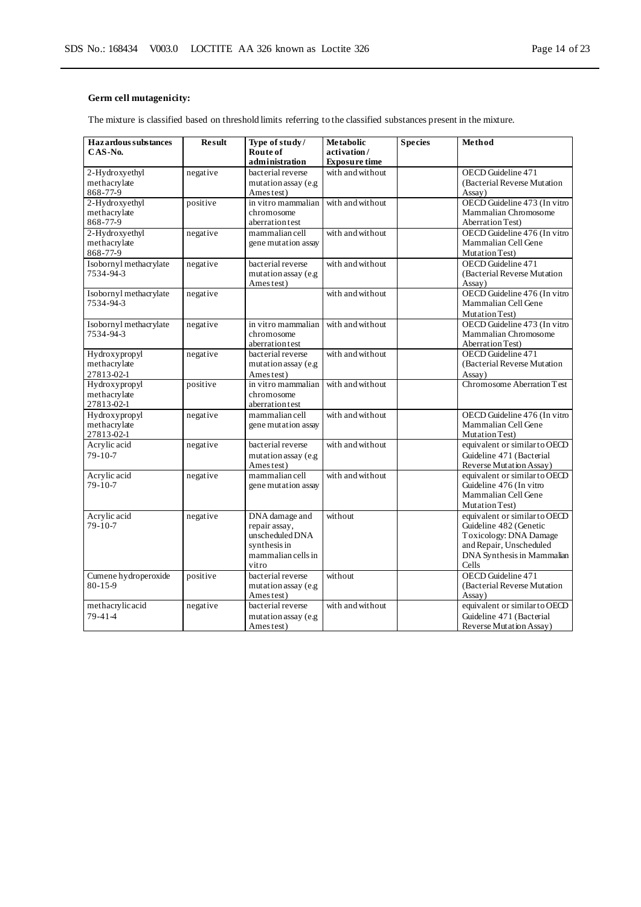### **Germ cell mutagenicity:**

The mixture is classified based on threshold limits referring to the classified substances present in the mixture.

| <b>Hazardous substances</b>   | <b>Result</b> | Type of study/                   | <b>Metabolic</b>     | <b>Species</b> | Method                                                  |
|-------------------------------|---------------|----------------------------------|----------------------|----------------|---------------------------------------------------------|
| CAS-No.                       |               | Route of                         | activation/          |                |                                                         |
|                               |               | administration                   | <b>Exposure time</b> |                |                                                         |
| 2-Hydroxyethyl                | negative      | bacterial reverse                | with and without     |                | OECD Guideline 471                                      |
| methacrylate                  |               | mutation assay (e.g              |                      |                | (Bacterial Reverse Mutation                             |
| 868-77-9                      |               | Ames test)                       |                      |                | Assay)                                                  |
| 2-Hydroxyethyl                | positive      | in vitro mammalian               | with and without     |                | OECD Guideline 473 (In vitro                            |
| methacrylate                  |               | chromosome                       |                      |                | Mammalian Chromosome                                    |
| 868-77-9                      |               | aberration test                  |                      |                | <b>Aberration Test)</b>                                 |
| 2-Hydroxyethyl                | negative      | mammalian cell                   | with and without     |                | OECD Guideline 476 (In vitro<br>Mammalian Cell Gene     |
| methacrylate<br>868-77-9      |               | gene mutation assay              |                      |                |                                                         |
| Isobornyl methacrylate        |               | bacterial reverse                | with and without     |                | Mutation Test)<br>OECD Guideline 471                    |
| 7534-94-3                     | negative      | mutation assay (e.g              |                      |                | (Bacterial Reverse Mutation                             |
|                               |               | Ames test)                       |                      |                | Assay)                                                  |
| Isobornyl methacrylate        | negative      |                                  | with and without     |                | OECD Guideline 476 (In vitro                            |
| 7534-94-3                     |               |                                  |                      |                | Mammalian Cell Gene                                     |
|                               |               |                                  |                      |                | Mutation Test)                                          |
| Isobornyl methacrylate        | negative      | in vitro mammalian               | with and without     |                | OECD Guideline 473 (In vitro                            |
| 7534-94-3                     |               | chromosome                       |                      |                | Mammalian Chromosome                                    |
|                               |               | aberration test                  |                      |                | Aberration Test)                                        |
| Hydroxypropyl                 | negative      | bacterial reverse                | with and without     |                | OECD Guideline 471                                      |
| methacrylate                  |               | mutation assay (e.g              |                      |                | (Bacterial Reverse Mutation)                            |
| 27813-02-1                    |               | Ames test)                       |                      |                | Assay)                                                  |
| Hydroxypropyl                 | positive      | in vitro mammalian               | with and without     |                | Chromosome Aberration Test                              |
| methacrylate                  |               | chromosome                       |                      |                |                                                         |
| 27813-02-1                    |               | aberration test                  |                      |                |                                                         |
| Hydroxypropyl                 | negative      | mammalian cell                   | with and without     |                | OECD Guideline 476 (In vitro                            |
| methacrylate                  |               | gene mutation assay              |                      |                | Mammalian Cell Gene                                     |
| 27813-02-1                    |               |                                  |                      |                | Mutation Test)                                          |
| Acrylic acid                  | negative      | bacterial reverse                | with and without     |                | equivalent or similar to OECD                           |
| $79 - 10 - 7$                 |               | mutation assay (e.g              |                      |                | Guideline 471 (Bacterial                                |
|                               |               | Ames test)                       |                      |                | Reverse Mutation Assay)                                 |
| Acrylic acid                  | negative      | mammalian cell                   | with and without     |                | equivalent or similar to OECD                           |
| $79 - 10 - 7$                 |               | gene mutation assay              |                      |                | Guideline 476 (In vitro                                 |
|                               |               |                                  |                      |                | Mammalian Cell Gene                                     |
|                               |               |                                  |                      |                | Mutation Test)                                          |
| Acrylic acid<br>$79 - 10 - 7$ | negative      | DNA damage and                   | without              |                | equivalent or similar to OECD<br>Guideline 482 (Genetic |
|                               |               | repair assay,<br>unscheduled DNA |                      |                | Toxicology: DNA Damage                                  |
|                               |               | synthesis in                     |                      |                | and Repair, Unscheduled                                 |
|                               |               | mammalian cells in               |                      |                | DNA Synthesis in Mammalian                              |
|                               |               | vitro                            |                      |                | Cells                                                   |
| Cumene hydroperoxide          | positive      | bacterial reverse                | without              |                | OECD Guideline 471                                      |
| $80 - 15 - 9$                 |               | mutation assay (e.g              |                      |                | (Bacterial Reverse Mutation                             |
|                               |               | Ames test)                       |                      |                | Assay)                                                  |
| methacrylicacid               | negative      | bacterial reverse                | with and without     |                | equivalent or similar to OECD                           |
| $79 - 41 - 4$                 |               | mutation assay (e.g              |                      |                | Guideline 471 (Bacterial                                |
|                               |               | Ames test)                       |                      |                | Reverse Mutation Assay)                                 |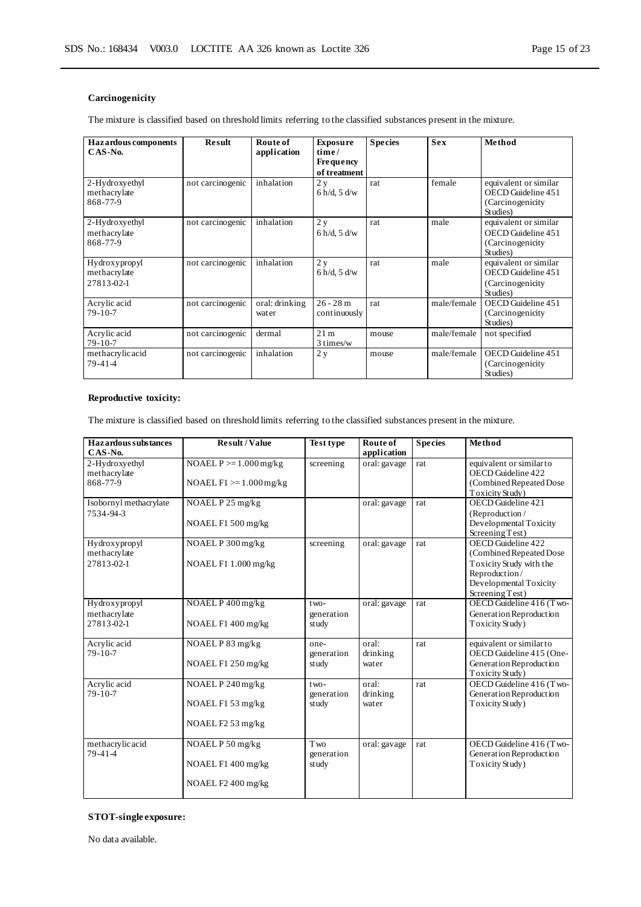### **Carcinogenicity**

The mixture is classified based on threshold limits referring to the classified substances present in the mixture.

| <b>Hazardous components</b><br>CAS-No.      | Result           | Route of<br>application | <b>Exposure</b><br>time/<br><b>Frequency</b><br>of treatment | <b>Species</b> | <b>Sex</b>  | Method                                                                       |
|---------------------------------------------|------------------|-------------------------|--------------------------------------------------------------|----------------|-------------|------------------------------------------------------------------------------|
| 2-Hydroxyethyl<br>methacrylate<br>868-77-9  | not carcinogenic | inhalation              | 2y<br>$6 h/d$ , $5 d/w$                                      | rat            | female      | equivalent or similar<br>OECD Guideline 451<br>(Carcinogenicity)<br>Studies) |
| 2-Hydroxyethyl<br>methacrylate<br>868-77-9  | not carcinogenic | inhalation              | 2y<br>$6 h/d$ , $5 d/w$                                      | rat            | male        | equivalent or similar<br>OECD Guideline 451<br>(Carcinogenicity)<br>Studies) |
| Hydroxypropyl<br>methacrylate<br>27813-02-1 | not carcinogenic | inhalation              | 2y<br>$6 h/d$ , $5 d/w$                                      | rat            | male        | equivalent or similar<br>OECD Guideline 451<br>(Carcinogenicity<br>Studies)  |
| Acrylic acid<br>$79 - 10 - 7$               | not carcinogenic | oral: drinking<br>water | $26 - 28m$<br>continuously                                   | rat            | male/female | OECD Guideline 451<br>(Carcinogenicity)<br>Studies)                          |
| Acrylic acid<br>$79 - 10 - 7$               | not carcinogenic | dermal                  | 21 <sub>m</sub><br>3 times/w                                 | mouse          | male/female | not specified                                                                |
| methacrylicacid<br>79-41-4                  | not carcinogenic | inhalation              | 2y                                                           | mouse          | male/female | OECD Guideline 451<br>(Carcinogenicity<br>Studies)                           |

### **Reproductive toxicity:**

The mixture is classified based on threshold limits referring to the classified substances present in the mixture.

| <b>Hazardous</b> substances<br>CAS-No.      | <b>Result / Value</b>                                         | <b>Test type</b>              | Route of<br>application    | <b>Species</b> | Method                                                                                                                                 |
|---------------------------------------------|---------------------------------------------------------------|-------------------------------|----------------------------|----------------|----------------------------------------------------------------------------------------------------------------------------------------|
| 2-Hydroxyethyl<br>methacrylate<br>868-77-9  | NOAEL $P \ge 1.000$ mg/kg<br>NOAEL $F1 \ge 1.000$ mg/kg       | screening                     | oral: gavage               | rat            | equivalent or similar to<br>OECD Guideline 422<br>(Combined Repeated Dose)<br>Toxicity Study)                                          |
| Isobornyl methacrylate<br>7534-94-3         | NOAEL P 25 mg/kg<br>NOAEL F1 500 mg/kg                        |                               | oral: gavage               | rat            | OECD Guideline 421<br>(Reproduction/<br>Developmental Toxicity<br>Screening Test)                                                      |
| Hydroxypropyl<br>methacrylate<br>27813-02-1 | NOAEL P 300 mg/kg<br>NOAEL F1 1.000 mg/kg                     | screening                     | oral: gavage               | rat            | OECD Guideline 422<br>(Combined Repeated Dose<br>Toxicity Study with the<br>Reproduction/<br>Developmental Toxicity<br>Screening Test) |
| Hydroxypropyl<br>methacrylate<br>27813-02-1 | NOAEL P 400 mg/kg<br>NOAEL F1 400 mg/kg                       | $two-$<br>generation<br>study | oral: gavage               | rat            | OECD Guideline 416 (Two-<br>Generation Reproduction<br>Toxicity Study)                                                                 |
| Acrylic acid<br>$79 - 10 - 7$               | NOAEL P 83 mg/kg<br>NOAEL F1 250 mg/kg                        | one-<br>generation<br>study   | oral:<br>drinking<br>water | rat            | equivalent or similar to<br>OECD Guideline 415 (One-<br>Generation Reproduction<br>Toxicity Study)                                     |
| Acrylic acid<br>$79 - 10 - 7$               | NOAEL P 240 mg/kg<br>NOAEL F1 53 mg/kg<br>NOAEL $F2 53$ mg/kg | $two-$<br>generation<br>study | oral:<br>drinking<br>water | rat            | OECD Guideline 416 (Two-<br>Generation Reproduction<br>Toxicity Study)                                                                 |
| methacrylic acid<br>$79 - 41 - 4$           | NOAEL P 50 mg/kg<br>NOAEL F1 400 mg/kg<br>NOAEL F2 400 mg/kg  | Two<br>generation<br>study    | oral: gavage               | rat            | OECD Guideline 416 (Two-<br>Generation Reproduction<br>Toxicity Study)                                                                 |

### **STOT-single exposure:**

No data available.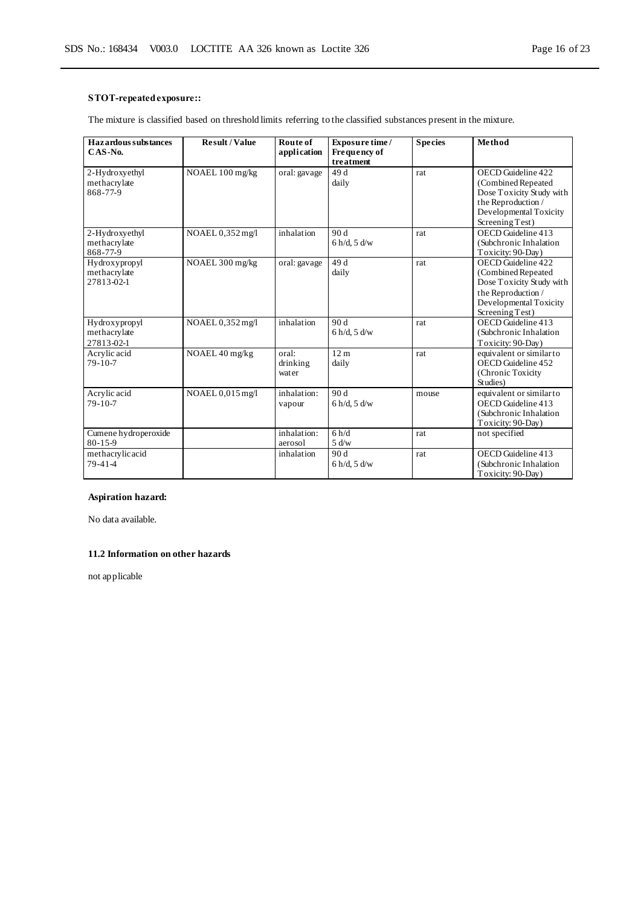### **STOT-repeated exposure::**

The mixture is classified based on threshold limits referring to the classified substances present in the mixture.

| <b>Hazardous substances</b><br>$CAS-No.$ | <b>Result/Value</b> | Route of<br>application | Exposure time /<br>Frequency of | <b>Species</b> | Method                                         |
|------------------------------------------|---------------------|-------------------------|---------------------------------|----------------|------------------------------------------------|
|                                          |                     |                         | treatment                       |                |                                                |
| 2-Hydroxyethyl                           | NOAEL 100 mg/kg     | oral: gavage            | 49 d                            | rat            | OECD Guideline 422                             |
| methacrylate<br>868-77-9                 |                     |                         | daily                           |                | (Combined Repeated<br>Dose Toxicity Study with |
|                                          |                     |                         |                                 |                | the Reproduction /                             |
|                                          |                     |                         |                                 |                | Developmental Toxicity                         |
|                                          |                     |                         |                                 |                | Screening Test)                                |
| 2-Hydroxyethyl                           | NOAEL 0,352 mg/l    | inhalation              | 90d                             | rat            | OECD Guideline 413                             |
| methacrylate<br>868-77-9                 |                     |                         | $6 h/d$ , $5 d/w$               |                | (Subchronic Inhalation<br>Toxicity: 90-Day)    |
| Hydroxypropyl                            | NOAEL 300 mg/kg     | oral: gavage            | 49 d                            | rat            | OECD Guideline 422                             |
| methacrylate                             |                     |                         | daily                           |                | (Combined Repeated                             |
| 27813-02-1                               |                     |                         |                                 |                | Dose Toxicity Study with                       |
|                                          |                     |                         |                                 |                | the Reproduction /                             |
|                                          |                     |                         |                                 |                | Developmental Toxicity<br>Screening Test)      |
| Hydroxypropyl                            | NOAEL 0,352 mg/l    | inhalation              | 90d                             | rat            | OECD Guideline 413                             |
| methacrylate                             |                     |                         | $6 h/d$ , $5 d/w$               |                | (Subchronic Inhalation                         |
| 27813-02-1                               |                     |                         |                                 |                | Toxicity: 90-Day)                              |
| Acrylic acid                             | NOAEL 40 mg/kg      | oral:                   | 12 <sub>m</sub>                 | rat            | equivalent or similar to                       |
| $79 - 10 - 7$                            |                     | drinking<br>water       | daily                           |                | OECD Guideline 452<br>(Chronic Toxicity        |
|                                          |                     |                         |                                 |                | Studies)                                       |
| Acrylic acid                             | NOAEL 0,015 mg/l    | inhalation:             | 90d                             | mouse          | equivalent or similar to                       |
| $79 - 10 - 7$                            |                     | vapour                  | $6 h/d$ , $5 d/w$               |                | OECD Guideline 413                             |
|                                          |                     |                         |                                 |                | (Subchronic Inhalation                         |
| Cumene hydroperoxide                     |                     | inhalation:             | 6 h/d                           | rat            | Toxicity: 90-Day)<br>not specified             |
| 80-15-9                                  |                     | aerosol                 | 5 d/w                           |                |                                                |
| methacrylicacid                          |                     | inhalation              | 90d                             | rat            | OECD Guideline 413                             |
| $79 - 41 - 4$                            |                     |                         | $6 h/d$ , $5 d/w$               |                | (Subchronic Inhalation                         |
|                                          |                     |                         |                                 |                | Toxicity: 90-Day)                              |

### **Aspiration hazard:**

No data available.

### **11.2 Information on other hazards**

not applicable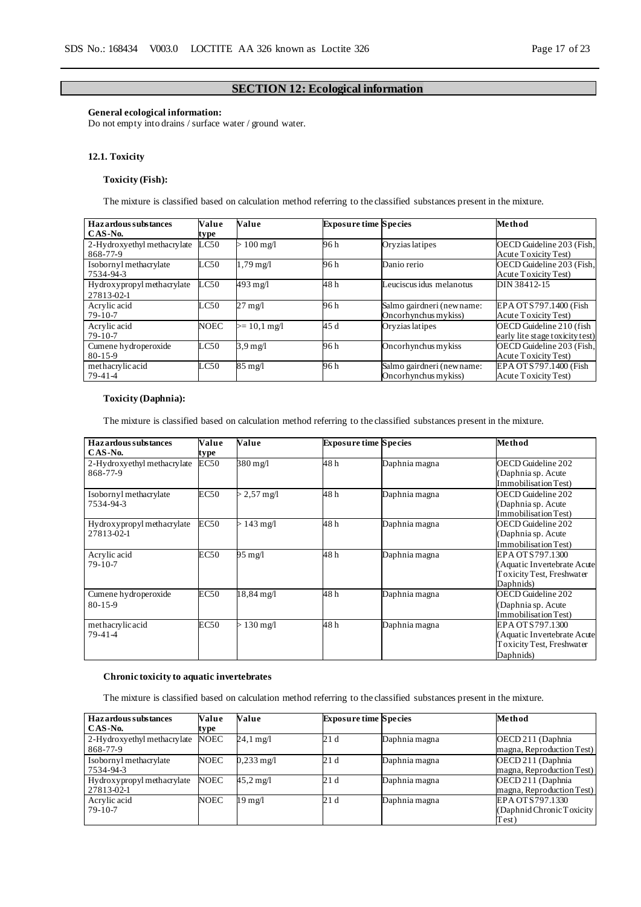### **SECTION 12: Ecological information**

### **General ecological information:**

Do not empty into drains / surface water / ground water.

### **12.1. Toxicity**

### **Toxicity (Fish):**

The mixture is classified based on calculation method referring to the classified substances present in the mixture.

| <b>Hazardous substances</b> | Value         | Value                  | <b>Exposure time Species</b> |                           | Method                          |
|-----------------------------|---------------|------------------------|------------------------------|---------------------------|---------------------------------|
| CAS-No.                     | type          |                        |                              |                           |                                 |
| 2-Hydroxyethyl methacrylate | LC50          | $100 \text{ mg}/1$     | 96 h                         | Oryzias latipes           | OECD Guideline 203 (Fish,       |
| 868-77-9                    |               |                        |                              |                           | Acute Toxicity Test)            |
| Isobornyl methacrylate      | LC50          | $1.79 \,\mathrm{mg}/l$ | 96 h                         | Danio rerio               | OECD Guideline 203 (Fish,       |
| 7534-94-3                   |               |                        |                              |                           | Acute Toxicity Test)            |
| Hydroxypropyl methacrylate  | $_{\rm LC50}$ | $493 \text{ mg}/1$     | 48 h                         | Leuciscus idus melanotus  | DIN 38412-15                    |
| 27813-02-1                  |               |                        |                              |                           |                                 |
| Acrylic acid                | LC50          | $27 \text{ mg/l}$      | 96 h                         | Salmo gairdneri (newname: | EPA OT S797.1400 (Fish          |
| $79 - 10 - 7$               |               |                        |                              | Oncorhynchus mykiss)      | Acute Toxicity Test)            |
| Acrylic acid                | <b>NOEC</b>   | $>= 10.1 \text{ mg/l}$ | 45 d                         | Orvzias latipes           | OECD Guideline 210 (fish        |
| $79-10-7$                   |               |                        |                              |                           | early lite stage toxicity test) |
| Cumene hydroperoxide        | LC50          | $3.9 \text{ mg}/l$     | 96 h                         | Oncorhynchus mykiss       | OECD Guideline 203 (Fish,       |
| $80 - 15 - 9$               |               |                        |                              |                           | Acute Toxicity Test)            |
| methacrylicacid             | LC50          | $85 \text{ mg}/l$      | 96 h                         | Salmo gairdneri (newname: | EPA OT S797.1400 (Fish          |
| $79-41-4$                   |               |                        |                              | Oncorhynchus mykiss)      | Acute Toxicity Test)            |

### **Toxicity (Daphnia):**

The mixture is classified based on calculation method referring to the classified substances present in the mixture.

| <b>Hazardous substances</b> | Value | Value                  | <b>Exposure time Species</b> |               | Method                     |
|-----------------------------|-------|------------------------|------------------------------|---------------|----------------------------|
| $CAS-N0$ .                  | type  |                        |                              |               |                            |
| 2-Hydroxyethyl methacrylate | EC50  | 380 mg/l               | 48 h                         | Daphnia magna | OECD Guideline 202         |
| 868-77-9                    |       |                        |                              |               | Daphnia sp. Acute          |
|                             |       |                        |                              |               | Immobilisation Test)       |
| Isobornyl methacrylate      | EC50  | $> 2,57 \text{ mg/l}$  | 48 h                         | Daphnia magna | OECD Guideline 202         |
| 7534-94-3                   |       |                        |                              |               | Daphnia sp. Acute          |
|                             |       |                        |                              |               | Immobilisation Test)       |
| Hydroxypropyl methacrylate  | EC50  | $>143$ mg/l            | 48 h                         | Daphnia magna | OECD Guideline 202         |
| 27813-02-1                  |       |                        |                              |               | Daphnia sp. Acute          |
|                             |       |                        |                              |               | Immobilisation Test)       |
| Acrylic acid                | EC50  | 95 mg/l                | 48 h                         | Daphnia magna | EPA OT S797.1300           |
| $79-10-7$                   |       |                        |                              |               | Aquatic Invertebrate Acute |
|                             |       |                        |                              |               | Toxicity Test, Freshwater  |
|                             |       |                        |                              |               | Daphnids)                  |
| Cumene hydroperoxide        | EC50  | 18,84 mg/l             | 48 h                         | Daphnia magna | OECD Guideline 202         |
| $80 - 15 - 9$               |       |                        |                              |               | Daphnia sp. Acute          |
|                             |       |                        |                              |               | Immobilisation Test)       |
| methacrylicacid             | EC50  | $>130 \,\mathrm{mg/l}$ | 48 h                         | Daphnia magna | EPA OT S797.1300           |
| 79-41-4                     |       |                        |                              |               | Aquatic Invertebrate Acute |
|                             |       |                        |                              |               | Toxicity Test, Freshwater  |
|                             |       |                        |                              |               | Daphnids)                  |

### **Chronic toxicity to aquatic invertebrates**

The mixture is classified based on calculation method referring to the classified substances present in the mixture.

| Hazardous substances        | Value       | Value                   | <b>Exposure time Species</b> |               | Method                     |
|-----------------------------|-------------|-------------------------|------------------------------|---------------|----------------------------|
| CAS-No.                     | type        |                         |                              |               |                            |
| 2-Hydroxyethyl methacrylate | <b>NOEC</b> | $24.1 \text{ mg}/1$     | 21 d                         | Daphnia magna | OECD 211 (Daphnia          |
| 868-77-9                    |             |                         |                              |               | magna, Reproduction Test)  |
| Isobornyl methacrylate      | <b>NOEC</b> | $0,233 \,\mathrm{mg}/l$ | 21 d                         | Daphnia magna | OECD 211 (Daphnia)         |
| 7534-94-3                   |             |                         |                              |               | magna, Reproduction Test)  |
| Hydroxypropyl methacrylate  | <b>NOEC</b> | $45.2 \,\mathrm{mg}/l$  | 21 d                         | Daphnia magna | OECD 211 (Daphnia)         |
| 27813-02-1                  |             |                         |                              |               | magna, Reproduction Test)  |
| Acrylic acid                | <b>NOEC</b> | 19 mg/l                 | 21 d                         | Daphnia magna | EPA OT S797.1330           |
| $79-10-7$                   |             |                         |                              |               | (Daphnid Chronic Toxicity) |
|                             |             |                         |                              |               | Test)                      |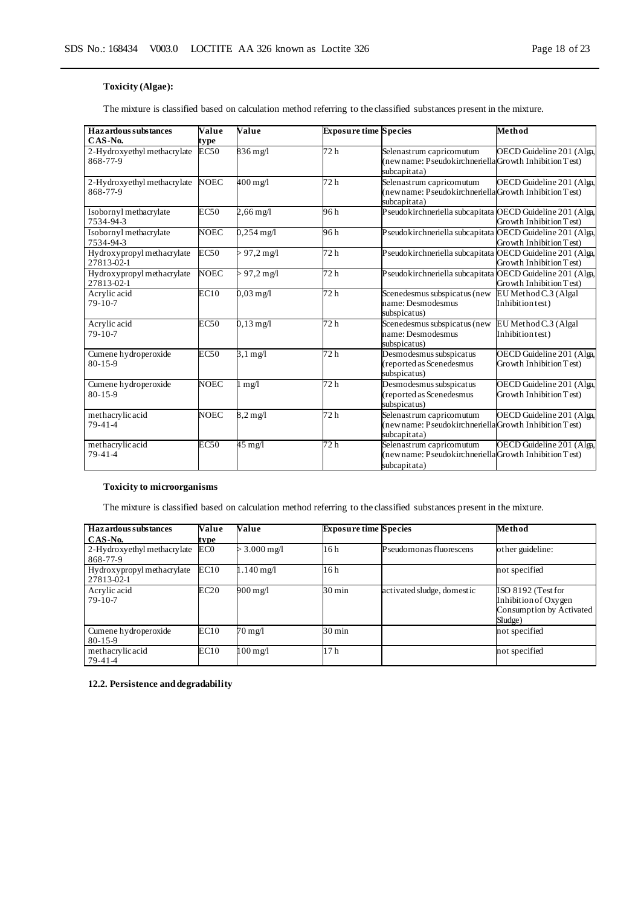### **Toxicity (Algae):**

The mixture is classified based on calculation method referring to the classified substances present in the mixture.

| Hazardous substances                     | Value       | Value                           | <b>Exposure time Species</b> |                                                                                                    | Method                                               |
|------------------------------------------|-------------|---------------------------------|------------------------------|----------------------------------------------------------------------------------------------------|------------------------------------------------------|
| CAS-No.                                  | type        |                                 |                              |                                                                                                    |                                                      |
| 2-Hydroxyethyl methacrylate<br>868-77-9  | EC50        | 836 mg/l                        | 72 h                         | Selenastrum capricomutum<br>(newname: Pseudokirchneriella Growth Inhibition Test)<br>subcapitata)  | OECD Guideline 201 (Alga,                            |
| 2-Hydroxyethyl methacrylate<br>868-77-9  | <b>NOEC</b> | $400 \text{ mg/l}$              | 72 h                         | Selenastrum capricomutum<br>(newname: Pseudokirchneriella Growth Inhibition Test)<br>subcapitata)  | OECD Guideline 201 (Alga,                            |
| Isobornyl methacrylate<br>7534-94-3      | <b>EC50</b> | $2,66 \,\mathrm{mg}/\mathrm{l}$ | 96 h                         | Pseudokirchneriella subcapitata OECD Guideline 201 (Alga,                                          | Growth Inhibition Test)                              |
| Isobornyl methacrylate<br>7534-94-3      | <b>NOEC</b> | $0,254 \text{ mg}/1$            | 96 h                         | Pseudokirchneriella subcapitata OECD Guideline 201 (Alga,                                          | Growth Inhibition Test)                              |
| Hydroxypropyl methacrylate<br>27813-02-1 | <b>EC50</b> | $> 97,2 \,\mathrm{mg}$          | 72 h                         | Pseudokirchneriella subcapitata OECD Guideline 201 (Alga,                                          | Growth Inhibition Test)                              |
| Hydroxypropyl methacrylate<br>27813-02-1 | <b>NOEC</b> | $> 97.2 \text{ mg/l}$           | 72 h                         | Pseudokirchneriella subcapitata OECD Guideline 201 (Alga,                                          | Growth Inhibition Test)                              |
| Acrylic acid<br>$79-10-7$                | EC10        | $0.03 \text{ mg}/1$             | 72 <sub>h</sub>              | Scenedesmus subspicatus (new<br>name: Desmodesmus<br>subspicatus)                                  | EU Method C.3 (Algal<br>Inhibition test)             |
| Acrylic acid<br>$79-10-7$                | EC50        | $0,13 \text{ mg}/1$             | 72 h                         | Scenedesmus subspicatus (new<br>name: Desmodesmus<br>subspicatus)                                  | EU Method C.3 (Algal<br>Inhibition test)             |
| Cumene hydroperoxide<br>$80 - 15 - 9$    | <b>EC50</b> | $3,1 \text{ mg}/l$              | 72 <sub>h</sub>              | Desmodesmus subspicatus<br>(reported as Scenedesmus<br>subspicatus)                                | OECD Guideline 201 (Alga,<br>Growth Inhibition Test) |
| Cumene hydroperoxide<br>$80 - 15 - 9$    | <b>NOEC</b> | mg/l                            | 72h                          | Desmodesmus subspicatus<br>(reported as Scenedesmus<br>subspicatus)                                | OECD Guideline 201 (Alga,<br>Growth Inhibition Test) |
| methacrylicacid<br>$79-41-4$             | <b>NOEC</b> | $8,2 \text{ mg}/l$              | 72 h                         | Selenastrum capricomutum<br>(newname: Pseudokirchneriella Growth Inhibition Test)<br>subcapitata)  | OECD Guideline 201 (Alga,                            |
| methacrylic acid<br>$79-41-4$            | EC50        | $45 \text{ mg}/l$               | 72 h                         | Selenastrum capricornutum<br>(newname: Pseudokirchneriella Growth Inhibition Test)<br>subcapitata) | OECD Guideline 201 (Alga,                            |

### **Toxicity to microorganisms**

The mixture is classified based on calculation method referring to the classified substances present in the mixture.

| Hazardous substances        | Value           | Value                     | <b>Exposure time Species</b> |                            | Method                   |
|-----------------------------|-----------------|---------------------------|------------------------------|----------------------------|--------------------------|
| CAS-No.                     | type            |                           |                              |                            |                          |
| 2-Hydroxyethyl methacrylate | EC <sub>0</sub> | $> 3.000 \,\mathrm{mg}/l$ | 16h                          | Pseudomonas fluorescens    | other guideline:         |
| 868-77-9                    |                 |                           |                              |                            |                          |
| Hydroxypropyl methacrylate  | EC10            | $1.140 \,\mathrm{mg}$     | 16h                          |                            | not specified            |
| 27813-02-1                  |                 |                           |                              |                            |                          |
| Acrylic acid                | EC20            | 900 mg/l                  | $30 \,\mathrm{min}$          | activated sludge, domestic | ISO 8192 (Test for       |
| $79-10-7$                   |                 |                           |                              |                            | Inhibition of Oxygen     |
|                             |                 |                           |                              |                            | Consumption by Activated |
|                             |                 |                           |                              |                            | Sludge)                  |
| Cumene hydroperoxide        | EC10            | $70 \,\mathrm{mg}/l$      | $30 \,\mathrm{min}$          |                            | not specified            |
| $80 - 15 - 9$               |                 |                           |                              |                            |                          |
| methacrylic acid            | EC10            | 100 mg/l                  | 17 <sub>h</sub>              |                            | not specified            |
| 79-41-4                     |                 |                           |                              |                            |                          |

**12.2. Persistence and degradability**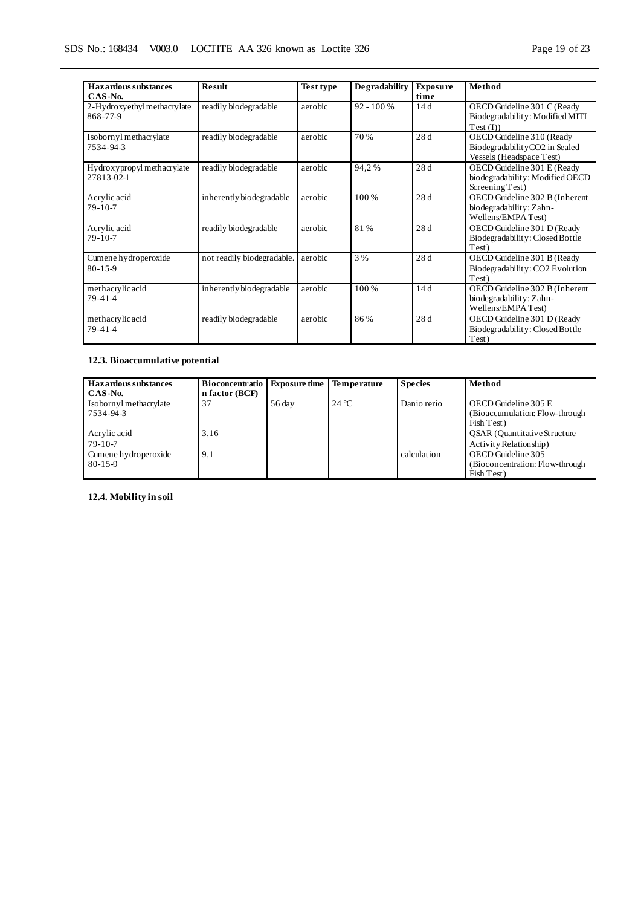| Hazardous substances<br>CAS-No.          | <b>Result</b>              | Test type | <b>Degradability</b> | <b>Exposure</b><br>time | Method                                                                                 |
|------------------------------------------|----------------------------|-----------|----------------------|-------------------------|----------------------------------------------------------------------------------------|
| 2-Hydroxyethyl methacrylate<br>868-77-9  | readily biodegradable      | aerobic   | $92 - 100%$          | 14d                     | OECD Guideline 301 C (Ready<br>Biodegradability: Modified MITI<br>Test (I))            |
| Isobornyl methacrylate<br>7534-94-3      | readily biodegradable      | aerobic   | 70 %                 | 28 d                    | OECD Guideline 310 (Ready<br>BiodegradabilityCO2 in Sealed<br>Vessels (Headspace Test) |
| Hydroxypropyl methacrylate<br>27813-02-1 | readily biodegradable      | aerobic   | 94,2%                | 28 d                    | OECD Guideline 301 E (Ready<br>biodegradability: Modified OECD<br>Screening Test)      |
| Acrylic acid<br>$79-10-7$                | inherently biodegradable   | aerobic   | 100 %                | 28 d                    | OECD Guideline 302 B (Inherent<br>biodegradability: Zahn-<br>Wellens/EMPA Test)        |
| Acrylic acid<br>$79-10-7$                | readily biodegradable      | aerobic   | 81%                  | 28 d                    | OECD Guideline 301 D (Ready<br>Biodegradability: Closed Bottle<br>Test)                |
| Cumene hydroperoxide<br>$80 - 15 - 9$    | not readily biodegradable. | aerobic   | 3 %                  | 28 d                    | OECD Guideline 301 B (Ready<br>Biodegradability: CO2 Evolution<br>Test)                |
| methacrylicacid<br>$79 - 41 - 4$         | inherently biodegradable   | aerobic   | 100 %                | 14d                     | OECD Guideline 302 B (Inherent<br>biodegradability: Zahn-<br>Wellens/EMPA Test)        |
| methacrylicacid<br>$79-41-4$             | readily biodegradable      | aerobic   | 86%                  | 28d                     | OECD Guideline 301 D (Ready<br>Biodegradability: Closed Bottle<br>Test)                |

### **12.3. Bioaccumulative potential**

| Hazardous substances<br>CAS-No.       | <b>Bioconcentratio</b><br>n factor (BCF) | <b>Exposure time</b> | <b>Temperature</b> | <b>Species</b> | Method                                                                |
|---------------------------------------|------------------------------------------|----------------------|--------------------|----------------|-----------------------------------------------------------------------|
| Isobornyl methacrylate<br>7534-94-3   | 37                                       | 56 day               | $24^{\circ}$ C     | Danio rerio    | OECD Guideline 305 E<br>(Bioaccumulation: Flow-through)<br>Fish Test) |
| Acrylic acid<br>$79-10-7$             | 3.16                                     |                      |                    |                | <b>QSAR</b> (Quantitative Structure)<br>Activity Relationship)        |
| Cumene hydroperoxide<br>$80 - 15 - 9$ | 9,1                                      |                      |                    | calculation    | OECD Guideline 305<br>(Bioconcentration: Flow-through)<br>Fish Test)  |

**12.4. Mobility in soil**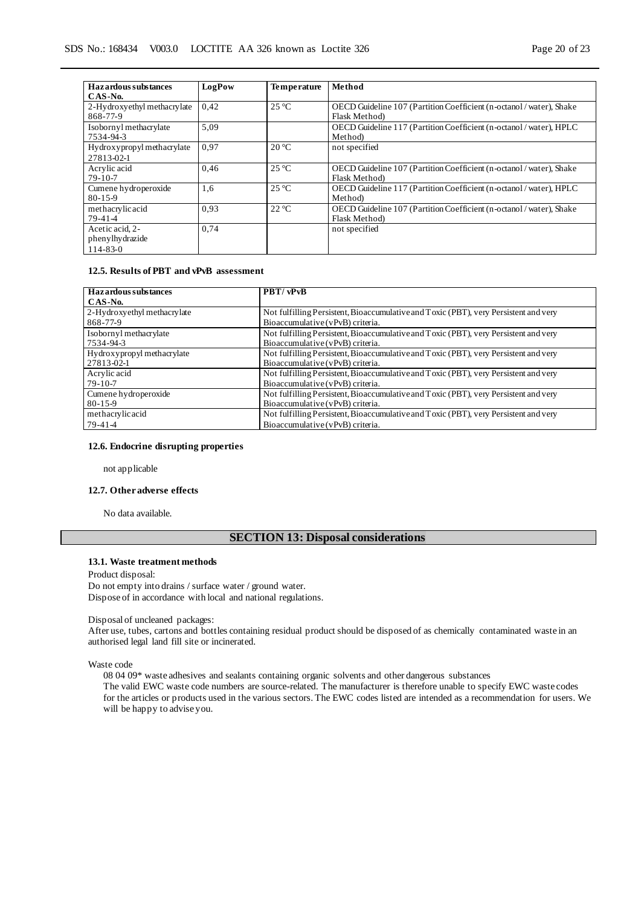| <b>Hazardous</b> substances | LogPow | Temperature    | Method                                                               |
|-----------------------------|--------|----------------|----------------------------------------------------------------------|
| CAS-No.                     |        |                |                                                                      |
| 2-Hydroxyethyl methacrylate | 0.42   | $25^{\circ}$ C | OECD Guideline 107 (Partition Coefficient (n-octanol / water), Shake |
| 868-77-9                    |        |                | Flask Method)                                                        |
| Isobornyl methacrylate      | 5,09   |                | OECD Guideline 117 (Partition Coefficient (n-octanol / water), HPLC  |
| 7534-94-3                   |        |                | Method)                                                              |
| Hydroxypropyl methacrylate  | 0.97   | $20^{\circ}$ C | not specified                                                        |
| 27813-02-1                  |        |                |                                                                      |
| Acrylic acid                | 0,46   | $25^{\circ}C$  | OECD Guideline 107 (Partition Coefficient (n-octanol / water), Shake |
| $79-10-7$                   |        |                | Flask Method)                                                        |
| Cumene hydroperoxide        | 1,6    | $25^{\circ}C$  | OECD Guideline 117 (Partition Coefficient (n-octanol / water), HPLC  |
| $80 - 15 - 9$               |        |                | Method)                                                              |
| methacrylic acid            | 0.93   | $22^{\circ}C$  | OECD Guideline 107 (Partition Coefficient (n-octanol / water), Shake |
| $79-41-4$                   |        |                | Flask Method)                                                        |
| Acetic acid, 2-             | 0,74   |                | not specified                                                        |
| phenylhydrazide             |        |                |                                                                      |
| $114 - 83 - 0$              |        |                |                                                                      |

### **12.5. Results of PBT and vPvB assessment**

| Hazardous substances        | PBT/vPvB                                                                             |
|-----------------------------|--------------------------------------------------------------------------------------|
| CAS-No.                     |                                                                                      |
| 2-Hydroxyethyl methacrylate | Not fulfilling Persistent, Bioaccumulative and Toxic (PBT), very Persistent and very |
| 868-77-9                    | Bioaccumulative (vPvB) criteria.                                                     |
| Isobornyl methacrylate      | Not fulfilling Persistent, Bioaccumulative and Toxic (PBT), very Persistent and very |
| 7534-94-3                   | Bioaccumulative (vPvB) criteria.                                                     |
| Hydroxypropyl methacrylate  | Not fulfilling Persistent, Bioaccumulative and Toxic (PBT), very Persistent and very |
| 27813-02-1                  | Bioaccumulative (vPvB) criteria.                                                     |
| Acrylic acid                | Not fulfilling Persistent, Bioaccumulative and Toxic (PBT), very Persistent and very |
| $79-10-7$                   | Bioaccumulative (vPvB) criteria.                                                     |
| Cumene hydroperoxide        | Not fulfilling Persistent, Bioaccumulative and Toxic (PBT), very Persistent and very |
| $80 - 15 - 9$               | Bioaccumulative (vPvB) criteria.                                                     |
| methacrylicacid             | Not fulfilling Persistent, Bioaccumulative and Toxic (PBT), very Persistent and very |
| 79-41-4                     | Bioaccumulative (vPvB) criteria.                                                     |

### **12.6. Endocrine disrupting properties**

not applicable

### **12.7. Other adverse effects**

No data available.

### **SECTION 13: Disposal considerations**

#### **13.1. Waste treatment methods**

Product disposal: Do not empty into drains / surface water / ground water. Dispose of in accordance with local and national regulations.

#### Disposal of uncleaned packages:

After use, tubes, cartons and bottles containing residual product should be disposed of as chemically contaminated waste in an authorised legal land fill site or incinerated.

Waste code

08 04 09\* waste adhesives and sealants containing organic solvents and other dangerous substances The valid EWC waste code numbers are source-related. The manufacturer is therefore unable to specify EWC waste codes for the articles or products used in the various sectors. The EWC codes listed are intended as a recommendation for users. We will be happy to advise you.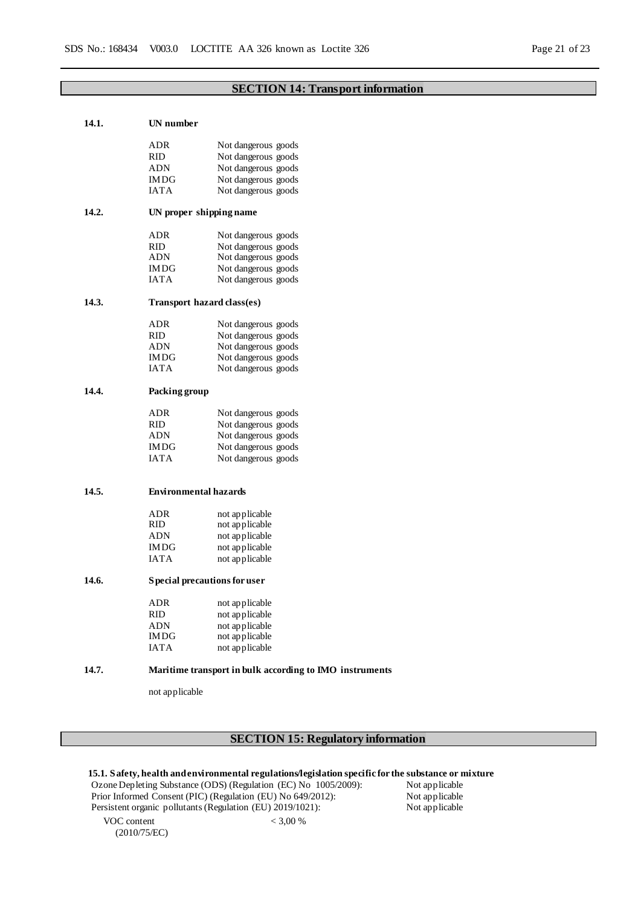### **SECTION 14: Transport information**

| 14.1. | UN number                     |                                                         |
|-------|-------------------------------|---------------------------------------------------------|
|       | ADR                           | Not dangerous goods                                     |
|       | RID                           | Not dangerous goods                                     |
|       | ADN                           | Not dangerous goods                                     |
|       | IMDG                          | Not dangerous goods                                     |
|       | IATA                          | Not dangerous goods                                     |
|       |                               |                                                         |
| 14.2. | UN proper shipping name       |                                                         |
|       | ADR                           | Not dangerous goods                                     |
|       | <b>RID</b>                    | Not dangerous goods                                     |
|       | ADN                           | Not dangerous goods                                     |
|       | IMDG                          | Not dangerous goods                                     |
|       | IATA                          | Not dangerous goods                                     |
| 14.3. | Transport hazard class(es)    |                                                         |
|       | ADR                           | Not dangerous goods                                     |
|       | RID                           | Not dangerous goods                                     |
|       | ADN                           | Not dangerous goods                                     |
|       | IMDG                          | Not dangerous goods                                     |
|       | IATA                          | Not dangerous goods                                     |
|       |                               |                                                         |
| 14.4. | Packing group                 |                                                         |
|       | ADR                           | Not dangerous goods                                     |
|       | RID                           | Not dangerous goods                                     |
|       | ADN                           | Not dangerous goods                                     |
|       | IMDG                          | Not dangerous goods                                     |
|       | IATA                          | Not dangerous goods                                     |
| 14.5. | <b>Environmental hazards</b>  |                                                         |
|       |                               |                                                         |
|       | ADR                           | not applicable                                          |
|       | RID                           | not applicable                                          |
|       | ADN                           | not applicable                                          |
|       | IMDG                          | not applicable                                          |
|       | IATA                          | not applicable                                          |
| 14.6. | S pecial precautions for user |                                                         |
|       |                               |                                                         |
|       | ADR                           | not applicable                                          |
|       | RID                           | not applicable                                          |
|       | <b>ADN</b>                    | not applicable                                          |
|       | IMDG                          | not applicable                                          |
|       | <b>IATA</b>                   | not applicable                                          |
| 14.7. |                               | Maritime transport in bulk according to IMO instruments |
|       | not applicable                |                                                         |
|       |                               |                                                         |
|       |                               |                                                         |
|       |                               |                                                         |

### **SECTION 15: Regulatory information**

**15.1. Safety, health and environmental regulations/legislation specific for the substance or mixture**<br>Ozone Depleting Substance (ODS) (Regulation (EC) No 1005/2009): Not applicable

 $< 3,00 %$ 

Ozone Depleting Substance (ODS) (Regulation (EC) No 1005/2009): Not applicable<br>Prior Informed Consent (PIC) (Regulation (EU) No 649/2012): Not applicable Prior Informed Consent (PIC) (Regulation (EU) No 649/2012): Not applicable<br>Persistent organic pollutants (Regulation (EU) 2019/1021): Not applicable<br>Not applicable Persistent organic pollutants (Regulation (EU) 2019/1021):

VOC content (2010/75/EC)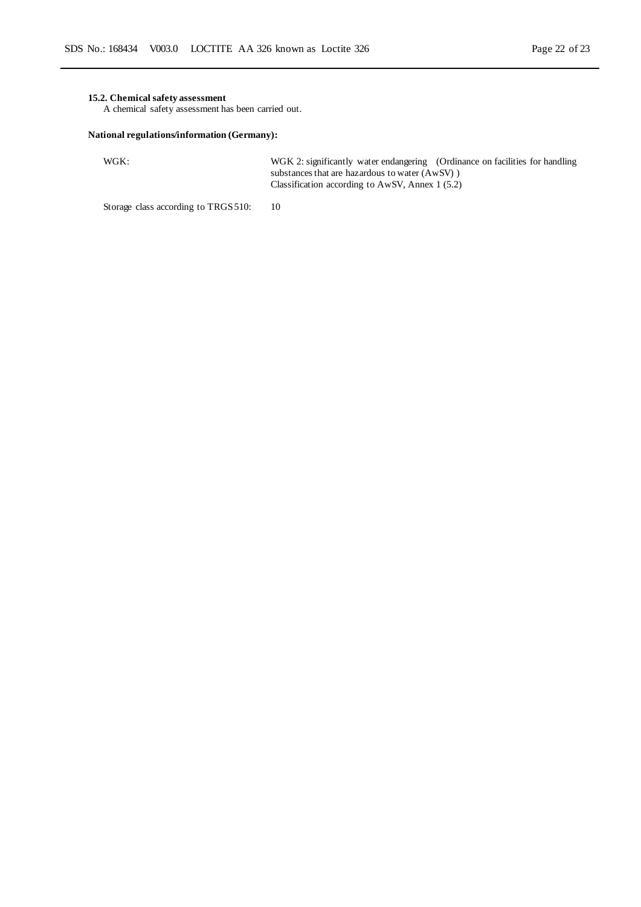### **15.2. Chemical safety assessment**

A chemical safety assessment has been carried out.

### **National regulations/information (Germany):**

WGK: WGK 2: significantly water endangering (Ordinance on facilities for handling substances that are hazardous to water (AwSV) ) Classification according to AwSV, Annex 1 (5.2)

Storage class according to TRGS 510: 10